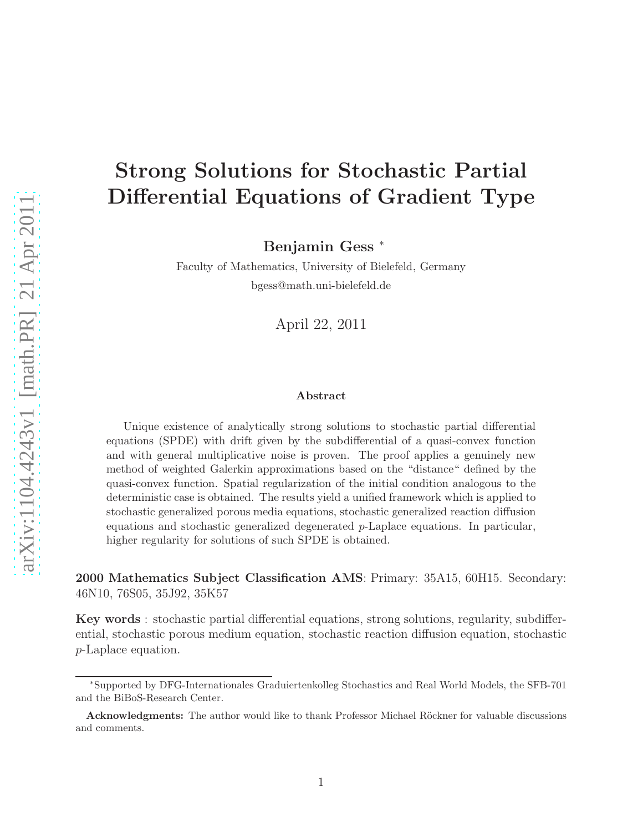# Strong Solutions for Stochastic Partial Differential Equations of Gradient Type

Benjamin Gess <sup>∗</sup>

Faculty of Mathematics, University of Bielefeld, Germany bgess@math.uni-bielefeld.de

April 22, 2011

#### Abstract

Unique existence of analytically strong solutions to stochastic partial differential equations (SPDE) with drift given by the subdifferential of a quasi-convex function and with general multiplicative noise is proven. The proof applies a genuinely new method of weighted Galerkin approximations based on the "distance" defined by the quasi-convex function. Spatial regularization of the initial condition analogous to the deterministic case is obtained. The results yield a unified framework which is applied to stochastic generalized porous media equations, stochastic generalized reaction diffusion equations and stochastic generalized degenerated p-Laplace equations. In particular, higher regularity for solutions of such SPDE is obtained.

2000 Mathematics Subject Classification AMS: Primary: 35A15, 60H15. Secondary: 46N10, 76S05, 35J92, 35K57

Key words : stochastic partial differential equations, strong solutions, regularity, subdifferential, stochastic porous medium equation, stochastic reaction diffusion equation, stochastic p-Laplace equation.

<sup>∗</sup>Supported by DFG-Internationales Graduiertenkolleg Stochastics and Real World Models, the SFB-701 and the BiBoS-Research Center.

Acknowledgments: The author would like to thank Professor Michael Röckner for valuable discussions and comments.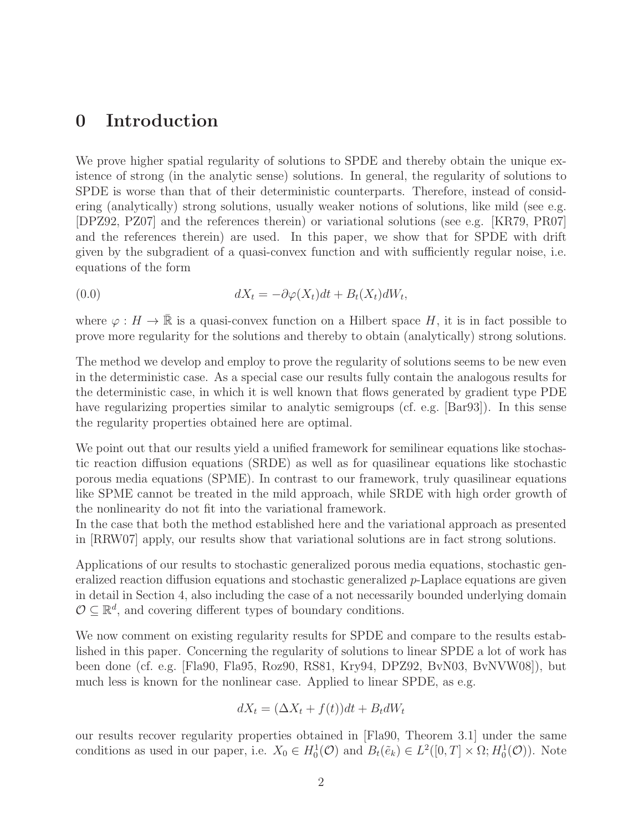## 0 Introduction

We prove higher spatial regularity of solutions to SPDE and thereby obtain the unique existence of strong (in the analytic sense) solutions. In general, the regularity of solutions to SPDE is worse than that of their deterministic counterparts. Therefore, instead of considering (analytically) strong solutions, usually weaker notions of solutions, like mild (see e.g. [DPZ92, PZ07] and the references therein) or variational solutions (see e.g. [KR79, PR07] and the references therein) are used. In this paper, we show that for SPDE with drift given by the subgradient of a quasi-convex function and with sufficiently regular noise, i.e. equations of the form

(0.0) 
$$
dX_t = -\partial \varphi(X_t)dt + B_t(X_t)dW_t,
$$

where  $\varphi : H \to \mathbb{R}$  is a quasi-convex function on a Hilbert space H, it is in fact possible to prove more regularity for the solutions and thereby to obtain (analytically) strong solutions.

The method we develop and employ to prove the regularity of solutions seems to be new even in the deterministic case. As a special case our results fully contain the analogous results for the deterministic case, in which it is well known that flows generated by gradient type PDE have regularizing properties similar to analytic semigroups (cf. e.g. [Bar93]). In this sense the regularity properties obtained here are optimal.

We point out that our results yield a unified framework for semilinear equations like stochastic reaction diffusion equations (SRDE) as well as for quasilinear equations like stochastic porous media equations (SPME). In contrast to our framework, truly quasilinear equations like SPME cannot be treated in the mild approach, while SRDE with high order growth of the nonlinearity do not fit into the variational framework.

In the case that both the method established here and the variational approach as presented in [RRW07] apply, our results show that variational solutions are in fact strong solutions.

Applications of our results to stochastic generalized porous media equations, stochastic generalized reaction diffusion equations and stochastic generalized p-Laplace equations are given in detail in Section 4, also including the case of a not necessarily bounded underlying domain  $\mathcal{O} \subseteq \mathbb{R}^d$ , and covering different types of boundary conditions.

We now comment on existing regularity results for SPDE and compare to the results established in this paper. Concerning the regularity of solutions to linear SPDE a lot of work has been done (cf. e.g. [Fla90, Fla95, Roz90, RS81, Kry94, DPZ92, BvN03, BvNVW08]), but much less is known for the nonlinear case. Applied to linear SPDE, as e.g.

$$
dX_t = (\Delta X_t + f(t))dt + B_t dW_t
$$

our results recover regularity properties obtained in [Fla90, Theorem 3.1] under the same conditions as used in our paper, i.e.  $X_0 \in H_0^1(\mathcal{O})$  and  $B_t(\tilde{e}_k) \in L^2([0,T] \times \Omega; H_0^1(\mathcal{O}))$ . Note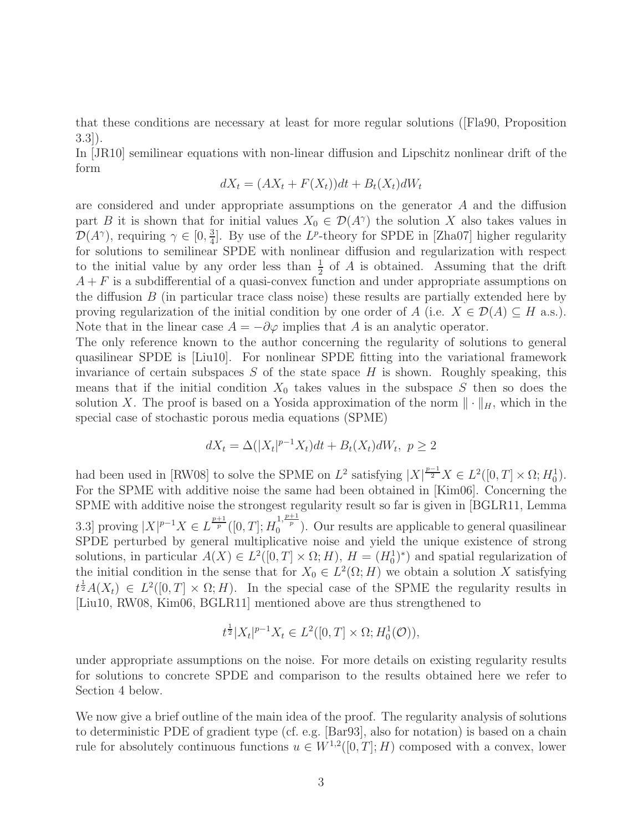that these conditions are necessary at least for more regular solutions ([Fla90, Proposition 3.3]).

In [JR10] semilinear equations with non-linear diffusion and Lipschitz nonlinear drift of the form

$$
dX_t = (AX_t + F(X_t))dt + B_t(X_t)dW_t
$$

are considered and under appropriate assumptions on the generator A and the diffusion part B it is shown that for initial values  $X_0 \in \mathcal{D}(A^{\gamma})$  the solution X also takes values in  $\mathcal{D}(A^{\gamma})$ , requiring  $\gamma \in [0, \frac{3}{4}]$  $\frac{3}{4}$ . By use of the L<sup>p</sup>-theory for SPDE in [Zha07] higher regularity for solutions to semilinear SPDE with nonlinear diffusion and regularization with respect to the initial value by any order less than  $\frac{1}{2}$  of A is obtained. Assuming that the drift  $A + F$  is a subdifferential of a quasi-convex function and under appropriate assumptions on the diffusion  $B$  (in particular trace class noise) these results are partially extended here by proving regularization of the initial condition by one order of A (i.e.  $X \in \mathcal{D}(A) \subseteq H$  a.s.). Note that in the linear case  $A = -\partial\varphi$  implies that A is an analytic operator.

The only reference known to the author concerning the regularity of solutions to general quasilinear SPDE is [Liu10]. For nonlinear SPDE fitting into the variational framework invariance of certain subspaces  $S$  of the state space  $H$  is shown. Roughly speaking, this means that if the initial condition  $X_0$  takes values in the subspace S then so does the solution X. The proof is based on a Yosida approximation of the norm  $\|\cdot\|_H$ , which in the special case of stochastic porous media equations (SPME)

$$
dX_t = \Delta(|X_t|^{p-1}X_t)dt + B_t(X_t)dW_t, \ p \ge 2
$$

had been used in [RW08] to solve the SPME on  $L^2$  satisfying  $|X|^{\frac{p-1}{2}}X \in L^2([0,T] \times \Omega; H_0^1)$ . For the SPME with additive noise the same had been obtained in [Kim06]. Concerning the SPME with additive noise the strongest regularity result so far is given in [BGLR11, Lemma 3.3] proving  $|X|^{p-1}X \in L^{\frac{p+1}{p}}([0,T];H_0^{1,\frac{p+1}{p}})$ . Our results are applicable to general quasilinear SPDE perturbed by general multiplicative noise and yield the unique existence of strong solutions, in particular  $A(X) \in L^2([0,T] \times \Omega; H)$ ,  $H = (H_0^1)^*$  and spatial regularization of the initial condition in the sense that for  $X_0 \in L^2(\Omega; H)$  we obtain a solution X satisfying  $t^{\frac{1}{2}}A(X_t) \in L^2([0,T] \times \Omega; H)$ . In the special case of the SPME the regularity results in [Liu10, RW08, Kim06, BGLR11] mentioned above are thus strengthened to

$$
t^{\frac{1}{2}}|X_t|^{p-1}X_t \in L^2([0,T] \times \Omega; H_0^1(\mathcal{O})),
$$

under appropriate assumptions on the noise. For more details on existing regularity results for solutions to concrete SPDE and comparison to the results obtained here we refer to Section 4 below.

We now give a brief outline of the main idea of the proof. The regularity analysis of solutions to deterministic PDE of gradient type (cf. e.g. [Bar93], also for notation) is based on a chain rule for absolutely continuous functions  $u \in W^{1,2}([0,T];H)$  composed with a convex, lower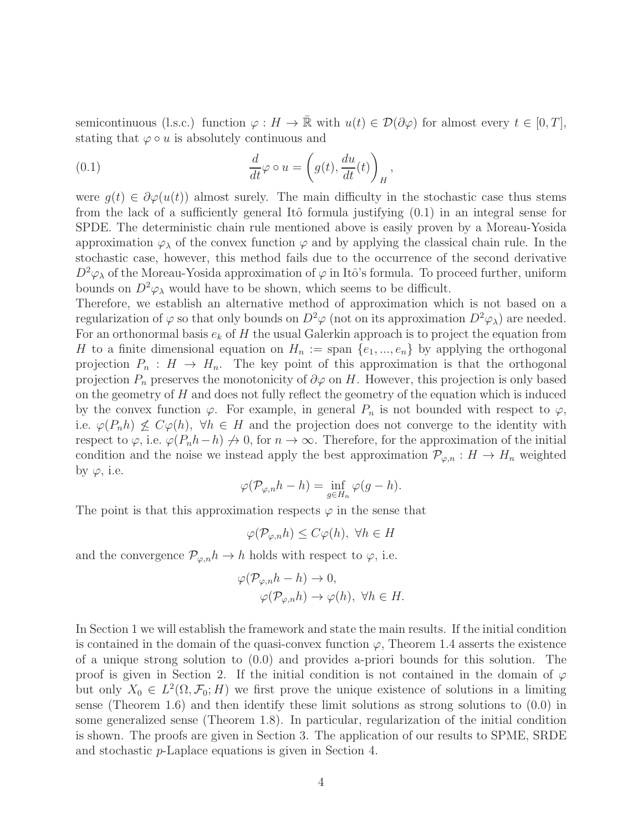semicontinuous (l.s.c.) function  $\varphi : H \to \overline{\mathbb{R}}$  with  $u(t) \in \mathcal{D}(\partial \varphi)$  for almost every  $t \in [0, T]$ , stating that  $\varphi \circ u$  is absolutely continuous and

(0.1) 
$$
\frac{d}{dt}\varphi \circ u = \left(g(t), \frac{du}{dt}(t)\right)_H,
$$

were  $q(t) \in \partial \varphi(u(t))$  almost surely. The main difficulty in the stochastic case thus stems from the lack of a sufficiently general Itô formula justifying  $(0.1)$  in an integral sense for SPDE. The deterministic chain rule mentioned above is easily proven by a Moreau-Yosida approximation  $\varphi_{\lambda}$  of the convex function  $\varphi$  and by applying the classical chain rule. In the stochastic case, however, this method fails due to the occurrence of the second derivative  $D^2\varphi_\lambda$  of the Moreau-Yosida approximation of  $\varphi$  in Itô's formula. To proceed further, uniform bounds on  $D^2\varphi_\lambda$  would have to be shown, which seems to be difficult.

Therefore, we establish an alternative method of approximation which is not based on a regularization of  $\varphi$  so that only bounds on  $D^2\varphi$  (not on its approximation  $D^2\varphi_\lambda$ ) are needed. For an orthonormal basis  $e_k$  of H the usual Galerkin approach is to project the equation from H to a finite dimensional equation on  $H_n := \text{span} \{e_1, ..., e_n\}$  by applying the orthogonal projection  $P_n : H \to H_n$ . The key point of this approximation is that the orthogonal projection  $P_n$  preserves the monotonicity of  $\partial \varphi$  on H. However, this projection is only based on the geometry of  $H$  and does not fully reflect the geometry of the equation which is induced by the convex function  $\varphi$ . For example, in general  $P_n$  is not bounded with respect to  $\varphi$ , i.e.  $\varphi(P_n h) \nleq C\varphi(h)$ ,  $\forall h \in H$  and the projection does not converge to the identity with respect to  $\varphi$ , i.e.  $\varphi(P_n h - h) \nrightarrow 0$ , for  $n \rightarrow \infty$ . Therefore, for the approximation of the initial condition and the noise we instead apply the best approximation  $\mathcal{P}_{\varphi,n}: H \to H_n$  weighted by  $\varphi$ , i.e.

$$
\varphi(\mathcal{P}_{\varphi,n}h-h)=\inf_{g\in H_n}\varphi(g-h).
$$

The point is that this approximation respects  $\varphi$  in the sense that

 $\varphi(\mathcal{P}_{\varphi,n}h) \leq C\varphi(h), \ \forall h \in H$ 

and the convergence  $\mathcal{P}_{\varphi,n}h \to h$  holds with respect to  $\varphi$ , i.e.

$$
\varphi(\mathcal{P}_{\varphi,n}h - h) \to 0,
$$
  

$$
\varphi(\mathcal{P}_{\varphi,n}h) \to \varphi(h), \ \forall h \in H.
$$

In Section 1 we will establish the framework and state the main results. If the initial condition is contained in the domain of the quasi-convex function  $\varphi$ , Theorem 1.4 asserts the existence of a unique strong solution to (0.0) and provides a-priori bounds for this solution. The proof is given in Section 2. If the initial condition is not contained in the domain of  $\varphi$ but only  $X_0 \in L^2(\Omega, \mathcal{F}_0; H)$  we first prove the unique existence of solutions in a limiting sense (Theorem 1.6) and then identify these limit solutions as strong solutions to (0.0) in some generalized sense (Theorem 1.8). In particular, regularization of the initial condition is shown. The proofs are given in Section 3. The application of our results to SPME, SRDE and stochastic p-Laplace equations is given in Section 4.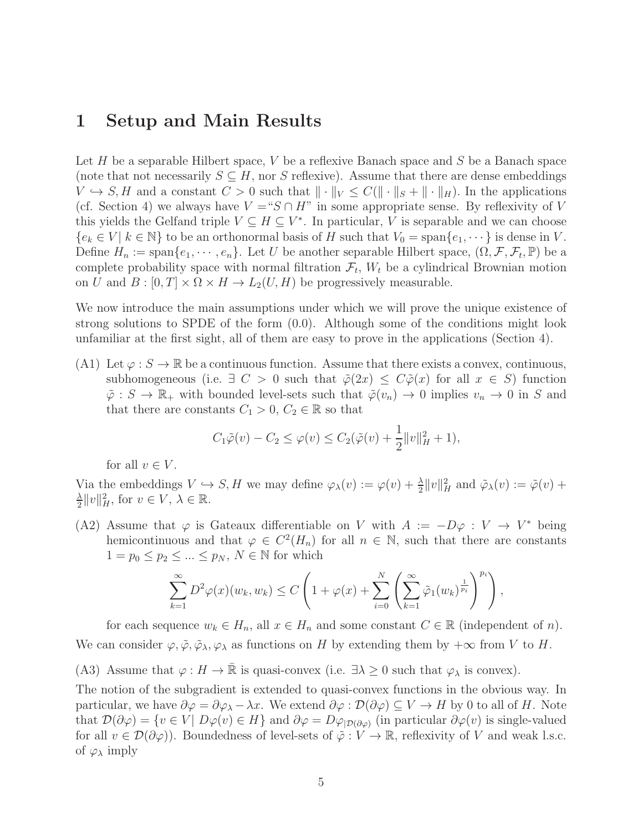## 1 Setup and Main Results

Let  $H$  be a separable Hilbert space,  $V$  be a reflexive Banach space and  $S$  be a Banach space (note that not necessarily  $S \subseteq H$ , nor S reflexive). Assume that there are dense embeddings  $V \hookrightarrow S, H$  and a constant  $C > 0$  such that  $\|\cdot\|_V \leq C(\|\cdot\|_S + \|\cdot\|_H)$ . In the applications (cf. Section 4) we always have  $V = S \cap H$ " in some appropriate sense. By reflexivity of V this yields the Gelfand triple  $V \subseteq H \subseteq V^*$ . In particular, V is separable and we can choose  ${e_k \in V \mid k \in \mathbb{N}}$  to be an orthonormal basis of H such that  $V_0 = \text{span}\{e_1, \dots\}$  is dense in V. Define  $H_n := \text{span}\{e_1, \dots, e_n\}$ . Let U be another separable Hilbert space,  $(\Omega, \mathcal{F}, \mathcal{F}_t, \mathbb{P})$  be a complete probability space with normal filtration  $\mathcal{F}_t$ ,  $W_t$  be a cylindrical Brownian motion on U and  $B : [0, T] \times \Omega \times H \to L_2(U, H)$  be progressively measurable.

We now introduce the main assumptions under which we will prove the unique existence of strong solutions to SPDE of the form (0.0). Although some of the conditions might look unfamiliar at the first sight, all of them are easy to prove in the applications (Section 4).

(A1) Let  $\varphi : S \to \mathbb{R}$  be a continuous function. Assume that there exists a convex, continuous, subhomogeneous (i.e.  $\exists C > 0$  such that  $\tilde{\varphi}(2x) \leq C\tilde{\varphi}(x)$  for all  $x \in S$ ) function  $\tilde{\varphi}: S \to \mathbb{R}_+$  with bounded level-sets such that  $\tilde{\varphi}(v_n) \to 0$  implies  $v_n \to 0$  in S and that there are constants  $C_1 > 0, C_2 \in \mathbb{R}$  so that

$$
C_1 \tilde{\varphi}(v) - C_2 \le \varphi(v) \le C_2(\tilde{\varphi}(v) + \frac{1}{2} ||v||_H^2 + 1),
$$

for all  $v \in V$ .

Via the embeddings  $V \hookrightarrow S$ , H we may define  $\varphi_\lambda(v) := \varphi(v) + \frac{\lambda}{2} ||v||_H^2$  and  $\tilde{\varphi}_\lambda(v) := \tilde{\varphi}(v) + \lambda(v)$ λ  $\frac{\lambda}{2}||v||_H^2$ , for  $v \in V$ ,  $\lambda \in \mathbb{R}$ .

(A2) Assume that  $\varphi$  is Gateaux differentiable on V with  $A := -D\varphi : V \to V^*$  being hemicontinuous and that  $\varphi \in C^2(H_n)$  for all  $n \in \mathbb{N}$ , such that there are constants  $1 = p_0 \leq p_2 \leq \ldots \leq p_N, N \in \mathbb{N}$  for which

$$
\sum_{k=1}^{\infty} D^2 \varphi(x)(w_k, w_k) \le C \left( 1 + \varphi(x) + \sum_{i=0}^{N} \left( \sum_{k=1}^{\infty} \tilde{\varphi}_1(w_k)^{\frac{1}{p_i}} \right)^{p_i} \right),
$$

for each sequence  $w_k \in H_n$ , all  $x \in H_n$  and some constant  $C \in \mathbb{R}$  (independent of n). We can consider  $\varphi, \tilde{\varphi}, \tilde{\varphi}_{\lambda}, \varphi_{\lambda}$  as functions on H by extending them by  $+\infty$  from V to H.

(A3) Assume that  $\varphi : H \to \overline{\mathbb{R}}$  is quasi-convex (i.e.  $\exists \lambda \geq 0$  such that  $\varphi_{\lambda}$  is convex).

The notion of the subgradient is extended to quasi-convex functions in the obvious way. In particular, we have  $\partial \varphi = \partial \varphi_\lambda - \lambda x$ . We extend  $\partial \varphi : \mathcal{D}(\partial \varphi) \subseteq V \to H$  by 0 to all of H. Note that  $\mathcal{D}(\partial \varphi) = \{v \in V | D\varphi(v) \in H\}$  and  $\partial \varphi = D\varphi_{|\mathcal{D}(\partial \varphi)}$  (in particular  $\partial \varphi(v)$  is single-valued for all  $v \in \mathcal{D}(\partial \varphi)$ ). Boundedness of level-sets of  $\tilde{\varphi}: V \to \mathbb{R}$ , reflexivity of V and weak l.s.c. of  $\varphi_{\lambda}$  imply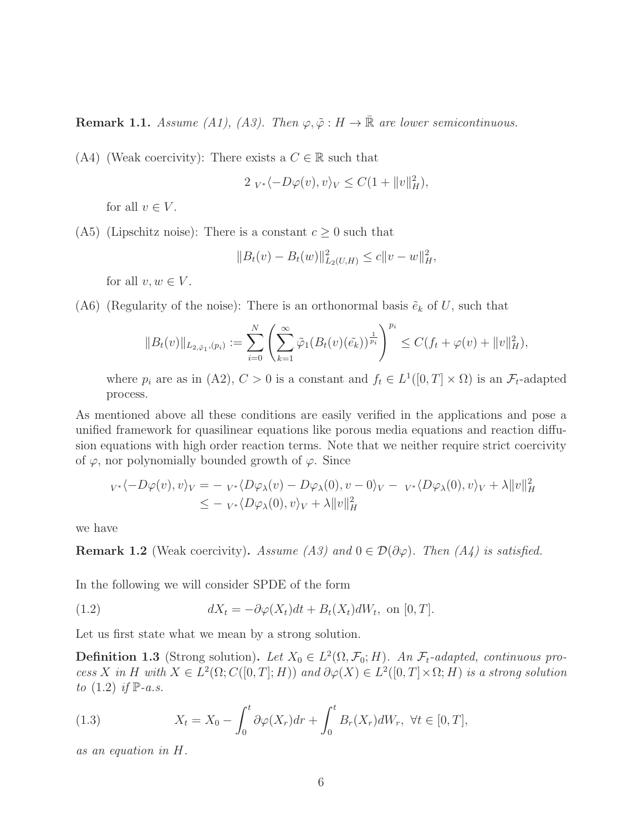**Remark 1.1.** Assume (A1), (A3). Then  $\varphi, \tilde{\varphi}: H \to \mathbb{R}$  are lower semicontinuous.

(A4) (Weak coercivity): There exists a  $C \in \mathbb{R}$  such that

$$
2 V^* \langle -D\varphi(v), v \rangle_V \le C(1 + \|v\|_H^2),
$$

for all  $v \in V$ .

(A5) (Lipschitz noise): There is a constant  $c \geq 0$  such that

$$
||B_t(v) - B_t(w)||_{L_2(U,H)}^2 \le c||v - w||_H^2,
$$

for all  $v, w \in V$ .

(A6) (Regularity of the noise): There is an orthonormal basis  $\tilde{e}_k$  of U, such that

$$
||B_t(v)||_{L_{2,\tilde{\varphi}_1}(p_i)} := \sum_{i=0}^N \left( \sum_{k=1}^\infty \tilde{\varphi}_1(B_t(v)(\tilde{e}_k))^{\frac{1}{p_i}} \right)^{p_i} \le C(f_t + \varphi(v) + ||v||_H^2),
$$

where  $p_i$  are as in (A2),  $C > 0$  is a constant and  $f_t \in L^1([0, T] \times \Omega)$  is an  $\mathcal{F}_t$ -adapted process.

As mentioned above all these conditions are easily verified in the applications and pose a unified framework for quasilinear equations like porous media equations and reaction diffusion equations with high order reaction terms. Note that we neither require strict coercivity of  $\varphi$ , nor polynomially bounded growth of  $\varphi$ . Since

$$
v*\langle -D\varphi(v), v \rangle_V = -v*\langle D\varphi_\lambda(v) - D\varphi_\lambda(0), v - 0 \rangle_V - v*\langle D\varphi_\lambda(0), v \rangle_V + \lambda ||v||_H^2
$$
  

$$
\leq -v*\langle D\varphi_\lambda(0), v \rangle_V + \lambda ||v||_H^2
$$

we have

**Remark 1.2** (Weak coercivity). Assume (A3) and  $0 \in \mathcal{D}(\partial \varphi)$ . Then (A4) is satisfied.

In the following we will consider SPDE of the form

(1.2) 
$$
dX_t = -\partial \varphi(X_t)dt + B_t(X_t)dW_t, \text{ on } [0, T].
$$

Let us first state what we mean by a strong solution.

**Definition 1.3** (Strong solution). Let  $X_0 \in L^2(\Omega, \mathcal{F}_0; H)$ . An  $\mathcal{F}_t$ -adapted, continuous process X in H with  $X \in L^2(\Omega; C([0,T]; H))$  and  $\partial \varphi(X) \in L^2([0,T] \times \Omega; H)$  is a strong solution to  $(1.2)$  if  $\mathbb{P}\text{-}a.s.$ 

(1.3) 
$$
X_t = X_0 - \int_0^t \partial \varphi(X_r) dr + \int_0^t B_r(X_r) dW_r, \ \forall t \in [0, T],
$$

as an equation in H.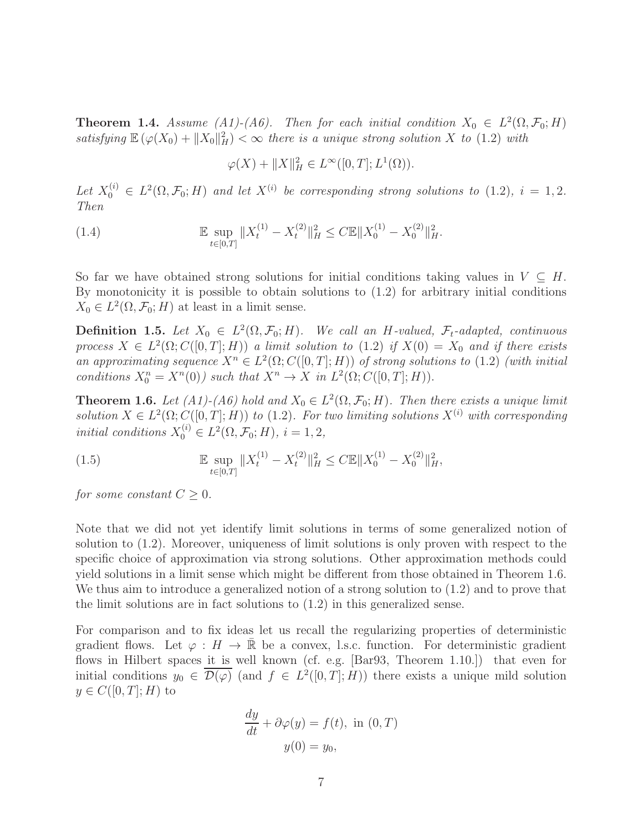**Theorem 1.4.** Assume (A1)-(A6). Then for each initial condition  $X_0 \in L^2(\Omega, \mathcal{F}_0; H)$ satisfying  $\mathbb{E}(\varphi(X_0) + ||X_0||_H^2) < \infty$  there is a unique strong solution X to (1.2) with

$$
\varphi(X) + ||X||_H^2 \in L^\infty([0,T]; L^1(\Omega)).
$$

Let  $X_0^{(i)} \in L^2(\Omega, \mathcal{F}_0; H)$  and let  $X^{(i)}$  be corresponding strong solutions to  $(1.2)$ ,  $i = 1, 2$ . Then

(1.4) 
$$
\mathbb{E} \sup_{t \in [0,T]} \|X_t^{(1)} - X_t^{(2)}\|_H^2 \le C \mathbb{E} \|X_0^{(1)} - X_0^{(2)}\|_H^2.
$$

So far we have obtained strong solutions for initial conditions taking values in  $V \subseteq H$ . By monotonicity it is possible to obtain solutions to (1.2) for arbitrary initial conditions  $X_0 \in L^2(\Omega, \mathcal{F}_0; H)$  at least in a limit sense.

**Definition 1.5.** Let  $X_0 \in L^2(\Omega, \mathcal{F}_0; H)$ . We call an H-valued,  $\mathcal{F}_t$ -adapted, continuous process  $X \in L^2(\Omega; C([0,T]; H))$  a limit solution to  $(1.2)$  if  $X(0) = X_0$  and if there exists an approximating sequence  $X^n \in L^2(\Omega; C([0,T]; H))$  of strong solutions to (1.2) (with initial conditions  $X_0^n = X^n(0)$  such that  $X^n \to X$  in  $L^2(\Omega; C([0, T]; H)).$ 

**Theorem 1.6.** Let  $(A1)$ - $(A6)$  hold and  $X_0 \in L^2(\Omega, \mathcal{F}_0; H)$ . Then there exists a unique limit solution  $X \in L^2(\Omega; C([0, T]; H))$  to  $(1.2)$ . For two limiting solutions  $X^{(i)}$  with corresponding initial conditions  $X_0^{(i)} \in L^2(\Omega, \mathcal{F}_0; H)$ ,  $i = 1, 2$ ,

(1.5) 
$$
\mathbb{E} \sup_{t \in [0,T]} \|X_t^{(1)} - X_t^{(2)}\|_H^2 \le C \mathbb{E} \|X_0^{(1)} - X_0^{(2)}\|_H^2,
$$

for some constant  $C \geq 0$ .

Note that we did not yet identify limit solutions in terms of some generalized notion of solution to (1.2). Moreover, uniqueness of limit solutions is only proven with respect to the specific choice of approximation via strong solutions. Other approximation methods could yield solutions in a limit sense which might be different from those obtained in Theorem 1.6. We thus aim to introduce a generalized notion of a strong solution to (1.2) and to prove that the limit solutions are in fact solutions to (1.2) in this generalized sense.

For comparison and to fix ideas let us recall the regularizing properties of deterministic gradient flows. Let  $\varphi : H \to \mathbb{R}$  be a convex, l.s.c. function. For deterministic gradient flows in Hilbert spaces it is well known (cf. e.g. [Bar93, Theorem 1.10.]) that even for initial conditions  $y_0 \in \overline{\mathcal{D}(\varphi)}$  (and  $f \in L^2([0,T];H)$ ) there exists a unique mild solution  $y \in C([0,T];H)$  to

$$
\frac{dy}{dt} + \partial \varphi(y) = f(t), \text{ in } (0, T)
$$

$$
y(0) = y_0,
$$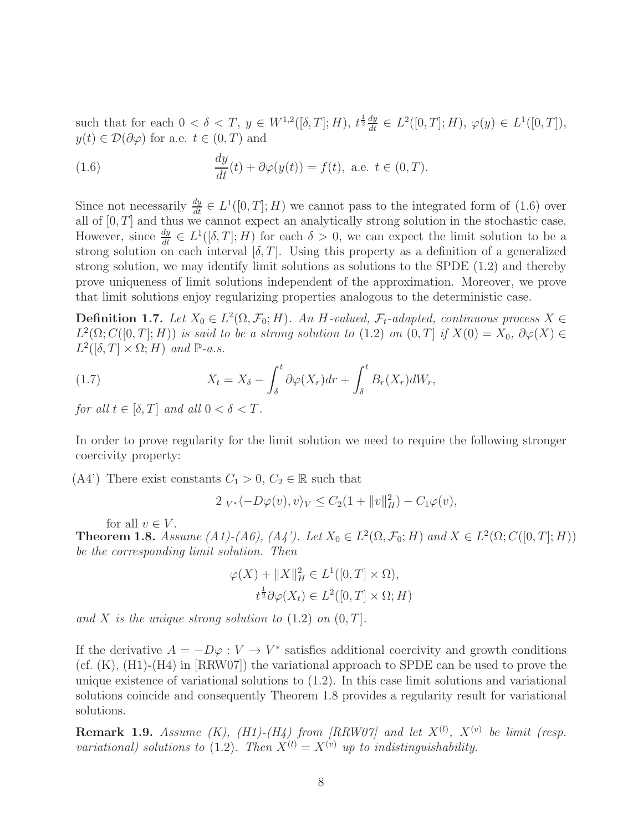such that for each  $0 < \delta < T$ ,  $y \in W^{1,2}([\delta,T];H)$ ,  $t^{\frac{1}{2}} \frac{dy}{dt} \in L^2([0,T];H)$ ,  $\varphi(y) \in L^1([0,T])$ ,  $y(t) \in \mathcal{D}(\partial \varphi)$  for a.e.  $t \in (0, T)$  and

(1.6) 
$$
\frac{dy}{dt}(t) + \partial \varphi(y(t)) = f(t), \text{ a.e. } t \in (0, T).
$$

Since not necessarily  $\frac{dy}{dt} \in L^1([0,T];H)$  we cannot pass to the integrated form of (1.6) over all of  $[0, T]$  and thus we cannot expect an analytically strong solution in the stochastic case. However, since  $\frac{dy}{dt} \in L^1([\delta, T]; H)$  for each  $\delta > 0$ , we can expect the limit solution to be a strong solution on each interval  $[\delta, T]$ . Using this property as a definition of a generalized strong solution, we may identify limit solutions as solutions to the SPDE (1.2) and thereby prove uniqueness of limit solutions independent of the approximation. Moreover, we prove that limit solutions enjoy regularizing properties analogous to the deterministic case.

**Definition 1.7.** Let  $X_0 \in L^2(\Omega, \mathcal{F}_0; H)$ . An H-valued,  $\mathcal{F}_t$ -adapted, continuous process  $X \in \mathbb{R}^d$  $L^2(\Omega; C([0,T]; H))$  is said to be a strong solution to  $(1.2)$  on  $(0,T]$  if  $X(0) = X_0$ ,  $\partial \varphi(X) \in C([0,T]; H)$  $L^2([{\delta}, T] \times {\Omega}; H)$  and  ${\mathbb P}$ -a.s.

(1.7) 
$$
X_t = X_\delta - \int_\delta^t \partial \varphi(X_r) dr + \int_\delta^t B_r(X_r) dW_r,
$$

for all  $t \in [\delta, T]$  and all  $0 < \delta < T$ .

In order to prove regularity for the limit solution we need to require the following stronger coercivity property:

(A4') There exist constants  $C_1 > 0, C_2 \in \mathbb{R}$  such that

$$
2 V^* \langle -D\varphi(v), v \rangle_V \le C_2(1 + ||v||_H^2) - C_1 \varphi(v),
$$

for all  $v \in V$ .

**Theorem 1.8.** Assume (A1)-(A6), (A4'). Let  $X_0 \in L^2(\Omega, \mathcal{F}_0; H)$  and  $X \in L^2(\Omega; C([0, T]; H))$ be the corresponding limit solution. Then

$$
\varphi(X) + ||X||_H^2 \in L^1([0, T] \times \Omega),
$$
  

$$
t^{\frac{1}{2}} \partial \varphi(X_t) \in L^2([0, T] \times \Omega; H)
$$

and X is the unique strong solution to  $(1.2)$  on  $(0, T]$ .

If the derivative  $A = -D\varphi : V \to V^*$  satisfies additional coercivity and growth conditions (cf. (K), (H1)-(H4) in [RRW07]) the variational approach to SPDE can be used to prove the unique existence of variational solutions to (1.2). In this case limit solutions and variational solutions coincide and consequently Theorem 1.8 provides a regularity result for variational solutions.

**Remark 1.9.** Assume (K), (H1)-(H4) from [RRW07] and let  $X^{(l)}$ ,  $X^{(v)}$  be limit (resp. variational) solutions to (1.2). Then  $X^{(l)} = X^{(v)}$  up to indistinguishability.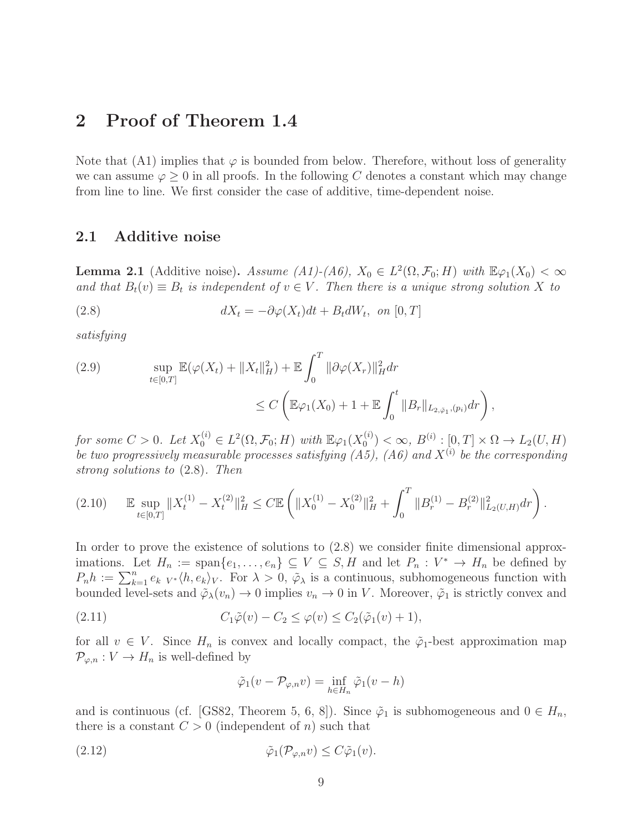## 2 Proof of Theorem 1.4

Note that (A1) implies that  $\varphi$  is bounded from below. Therefore, without loss of generality we can assume  $\varphi > 0$  in all proofs. In the following C denotes a constant which may change from line to line. We first consider the case of additive, time-dependent noise.

#### 2.1 Additive noise

**Lemma 2.1** (Additive noise). Assume (A1)-(A6),  $X_0 \in L^2(\Omega, \mathcal{F}_0; H)$  with  $\mathbb{E}\varphi_1(X_0) < \infty$ and that  $B_t(v) \equiv B_t$  is independent of  $v \in V$ . Then there is a unique strong solution X to

(2.8) 
$$
dX_t = -\partial \varphi(X_t)dt + B_t dW_t, \text{ on } [0, T]
$$

satisfying

(2.9) 
$$
\sup_{t \in [0,T]} \mathbb{E}(\varphi(X_t) + \|X_t\|_H^2) + \mathbb{E} \int_0^T \|\partial \varphi(X_r)\|_H^2 dr \n\leq C \left( \mathbb{E} \varphi_1(X_0) + 1 + \mathbb{E} \int_0^t \|B_r\|_{L_{2,\tilde{\varphi}_1},(p_i)} dr \right),
$$

for some  $C > 0$ . Let  $X_0^{(i)} \in L^2(\Omega, \mathcal{F}_0; H)$  with  $\mathbb{E}\varphi_1(X_0^{(i)})$  $\binom{a}{0} < \infty, B^{(i)} : [0, T] \times \Omega \to L_2(U, H)$ be two progressively measurable processes satisfying  $(A5)$ ,  $(A6)$  and  $X^{(i)}$  be the corresponding strong solutions to (2.8). Then

$$
(2.10) \qquad \mathbb{E} \sup_{t \in [0,T]} \|X_t^{(1)} - X_t^{(2)}\|_H^2 \le C \mathbb{E} \left( \|X_0^{(1)} - X_0^{(2)}\|_H^2 + \int_0^T \|B_r^{(1)} - B_r^{(2)}\|_{L_2(U,H)}^2 dr \right).
$$

In order to prove the existence of solutions to  $(2.8)$  we consider finite dimensional approximations. Let  $H_n := \text{span}\{e_1, \ldots, e_n\} \subseteq V \subseteq S, H$  and let  $P_n : V^* \to H_n$  be defined by  $P_n h := \sum_{k=1}^n e_{k} V^* \langle h, e_k \rangle_V$ . For  $\lambda > 0$ ,  $\tilde{\varphi}_{\lambda}$  is a continuous, subhomogeneous function with bounded level-sets and  $\tilde{\varphi}_{\lambda}(v_n) \to 0$  implies  $v_n \to 0$  in V. Moreover,  $\tilde{\varphi}_1$  is strictly convex and

(2.11) 
$$
C_1 \tilde{\varphi}(v) - C_2 \leq \varphi(v) \leq C_2(\tilde{\varphi}_1(v) + 1),
$$

for all  $v \in V$ . Since  $H_n$  is convex and locally compact, the  $\tilde{\varphi}_1$ -best approximation map  $\mathcal{P}_{\varphi,n}: V \to H_n$  is well-defined by

$$
\tilde{\varphi}_1(v - \mathcal{P}_{\varphi,n}v) = \inf_{h \in H_n} \tilde{\varphi}_1(v - h)
$$

and is continuous (cf. [GS82, Theorem 5, 6, 8]). Since  $\tilde{\varphi}_1$  is subhomogeneous and  $0 \in H_n$ , there is a constant  $C > 0$  (independent of n) such that

$$
(2.12) \t\t \tilde{\varphi}_1(\mathcal{P}_{\varphi,n}v) \leq C\tilde{\varphi}_1(v).
$$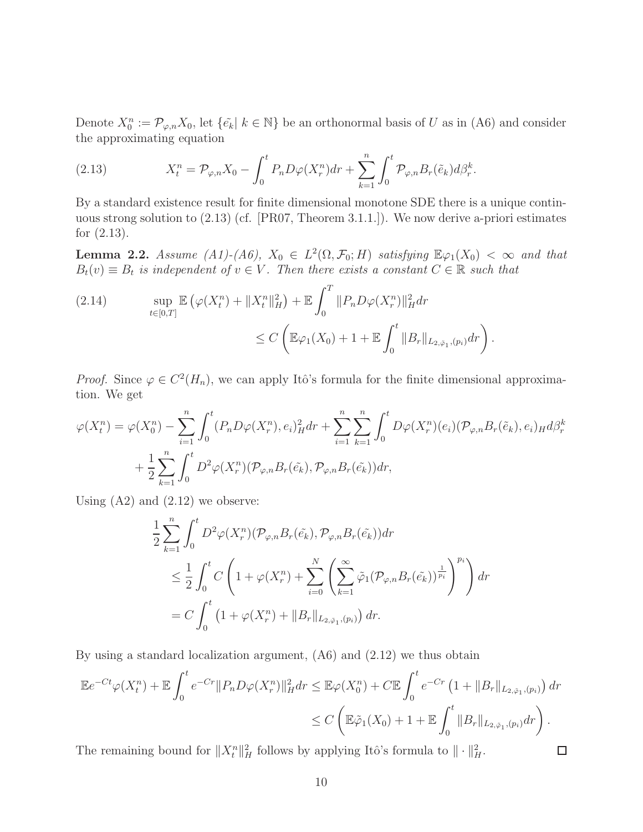Denote  $X_0^n := \mathcal{P}_{\varphi,n} X_0$ , let  $\{\tilde{e_k} \mid k \in \mathbb{N}\}$  be an orthonormal basis of U as in (A6) and consider the approximating equation

(2.13) 
$$
X_t^n = \mathcal{P}_{\varphi,n} X_0 - \int_0^t P_n D\varphi(X_r^n) dr + \sum_{k=1}^n \int_0^t \mathcal{P}_{\varphi,n} B_r(\tilde{e}_k) d\beta_r^k.
$$

By a standard existence result for finite dimensional monotone SDE there is a unique continuous strong solution to (2.13) (cf. [PR07, Theorem 3.1.1.]). We now derive a-priori estimates for (2.13).

**Lemma 2.2.** Assume (A1)-(A6),  $X_0 \in L^2(\Omega, \mathcal{F}_0; H)$  satisfying  $\mathbb{E}\varphi_1(X_0) < \infty$  and that  $B_t(v) \equiv B_t$  is independent of  $v \in V$ . Then there exists a constant  $C \in \mathbb{R}$  such that

(2.14) 
$$
\sup_{t \in [0,T]} \mathbb{E} \left( \varphi(X_t^n) + \|X_t^n\|_H^2 \right) + \mathbb{E} \int_0^T \|P_n D\varphi(X_r^n)\|_H^2 dr \n\leq C \left( \mathbb{E} \varphi_1(X_0) + 1 + \mathbb{E} \int_0^t \|B_r\|_{L_{2,\tilde{\varphi}_1},(p_i)} dr \right).
$$

*Proof.* Since  $\varphi \in C^2(H_n)$ , we can apply Itô's formula for the finite dimensional approximation. We get

$$
\varphi(X_t^n) = \varphi(X_0^n) - \sum_{i=1}^n \int_0^t (P_n D\varphi(X_r^n), e_i)_H^2 dr + \sum_{i=1}^n \sum_{k=1}^n \int_0^t D\varphi(X_r^n)(e_i) (\mathcal{P}_{\varphi,n} B_r(\tilde{e}_k), e_i)_H d\beta_r^k
$$
  
+ 
$$
\frac{1}{2} \sum_{k=1}^n \int_0^t D^2\varphi(X_r^n) (\mathcal{P}_{\varphi,n} B_r(\tilde{e}_k), \mathcal{P}_{\varphi,n} B_r(\tilde{e}_k)) dr,
$$

Using  $(A2)$  and  $(2.12)$  we observe:

$$
\frac{1}{2} \sum_{k=1}^{n} \int_{0}^{t} D^{2} \varphi(X_{r}^{n}) (\mathcal{P}_{\varphi,n} B_{r}(\tilde{e}_{k}), \mathcal{P}_{\varphi,n} B_{r}(\tilde{e}_{k})) dr
$$
\n
$$
\leq \frac{1}{2} \int_{0}^{t} C \left( 1 + \varphi(X_{r}^{n}) + \sum_{i=0}^{N} \left( \sum_{k=1}^{\infty} \tilde{\varphi}_{1} (\mathcal{P}_{\varphi,n} B_{r}(\tilde{e}_{k}))^{\frac{1}{p_{i}}} \right)^{p_{i}} \right) dr
$$
\n
$$
= C \int_{0}^{t} \left( 1 + \varphi(X_{r}^{n}) + ||B_{r}||_{L_{2,\tilde{\varphi}_{1}},(p_{i})} \right) dr.
$$

By using a standard localization argument, (A6) and (2.12) we thus obtain

$$
\mathbb{E}e^{-Ct}\varphi(X_t^n) + \mathbb{E}\int_0^t e^{-Cr}||P_nD\varphi(X_r^n)||_H^2 dr \leq \mathbb{E}\varphi(X_0^n) + C\mathbb{E}\int_0^t e^{-Cr}\left(1 + ||B_r||_{L_{2,\tilde{\varphi}_1},(p_i)}\right) dr
$$
  

$$
\leq C\left(\mathbb{E}\tilde{\varphi}_1(X_0) + 1 + \mathbb{E}\int_0^t ||B_r||_{L_{2,\tilde{\varphi}_1},(p_i)} dr\right).
$$

The remaining bound for  $||X_t^n||_H^2$  follows by applying Itô's formula to  $||\cdot||_H^2$ .

 $\Box$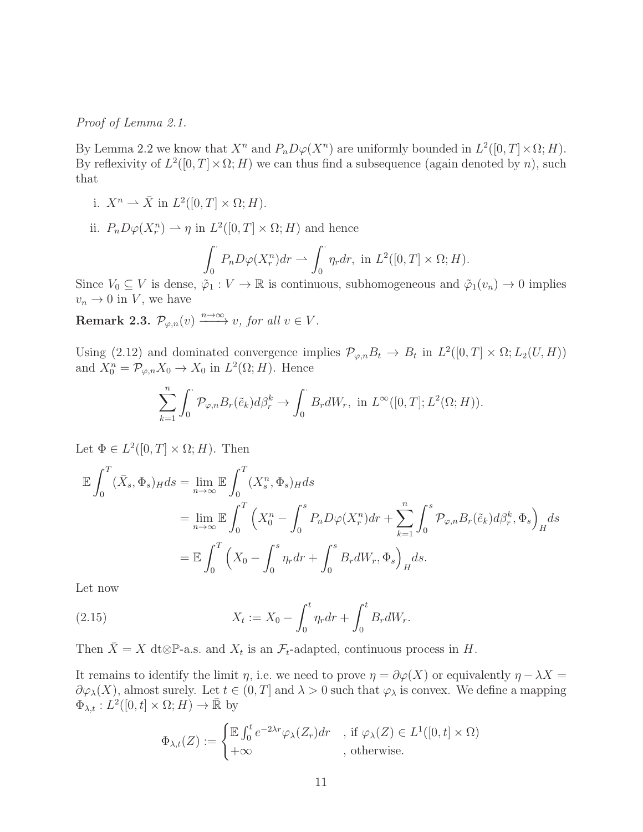Proof of Lemma 2.1.

By Lemma 2.2 we know that  $X^n$  and  $P_nD\varphi(X^n)$  are uniformly bounded in  $L^2([0,T]\times\Omega; H)$ . By reflexivity of  $L^2([0,T] \times \Omega; H)$  we can thus find a subsequence (again denoted by n), such that

- i.  $X^n \rightharpoonup \bar{X}$  in  $L^2([0,T] \times \Omega; H)$ .
- ii.  $P_n D\varphi(X_r^n) \rightharpoonup \eta$  in  $L^2([0,T] \times \Omega; H)$  and hence

$$
\int_0^{\cdot} P_n D\varphi(X_r^n) dr \rightharpoonup \int_0^{\cdot} \eta_r dr, \text{ in } L^2([0, T] \times \Omega; H).
$$

Since  $V_0 \subseteq V$  is dense,  $\tilde{\varphi}_1 : V \to \mathbb{R}$  is continuous, subhomogeneous and  $\tilde{\varphi}_1(v_n) \to 0$  implies  $v_n \to 0$  in V, we have

**Remark 2.3.**  $\mathcal{P}_{\varphi,n}(v) \xrightarrow{n \to \infty} v$ , for all  $v \in V$ .

Using (2.12) and dominated convergence implies  $\mathcal{P}_{\varphi,n}B_t \to B_t$  in  $L^2([0,T] \times \Omega; L_2(U, H))$ and  $X_0^n = \mathcal{P}_{\varphi,n} X_0 \to X_0$  in  $L^2(\Omega; H)$ . Hence

$$
\sum_{k=1}^n \int_0^{\cdot} \mathcal{P}_{\varphi,n} B_r(\tilde{e}_k) d\beta_r^k \to \int_0^{\cdot} B_r dW_r, \text{ in } L^{\infty}([0,T]; L^2(\Omega; H)).
$$

Let  $\Phi \in L^2([0,T] \times \Omega; H)$ . Then

$$
\mathbb{E} \int_0^T (\bar{X}_s, \Phi_s)_H ds = \lim_{n \to \infty} \mathbb{E} \int_0^T (X_s^n, \Phi_s)_H ds
$$
  
\n
$$
= \lim_{n \to \infty} \mathbb{E} \int_0^T \left( X_0^n - \int_0^s P_n D\varphi(X_r^n) dr + \sum_{k=1}^n \int_0^s \mathcal{P}_{\varphi,n} B_r(\tilde{e}_k) d\beta_r^k, \Phi_s \right)_H ds
$$
  
\n
$$
= \mathbb{E} \int_0^T \left( X_0 - \int_0^s \eta_r dr + \int_0^s B_r dW_r, \Phi_s \right)_H ds.
$$

Let now

(2.15) 
$$
X_t := X_0 - \int_0^t \eta_r dr + \int_0^t B_r dW_r.
$$

Then  $\bar{X} = X$  dt⊗P-a.s. and  $X_t$  is an  $\mathcal{F}_t$ -adapted, continuous process in  $H$ .

It remains to identify the limit  $\eta$ , i.e. we need to prove  $\eta = \partial \varphi(X)$  or equivalently  $\eta - \lambda X =$  $\partial \varphi_\lambda(X)$ , almost surely. Let  $t \in (0,T]$  and  $\lambda > 0$  such that  $\varphi_\lambda$  is convex. We define a mapping  $\Phi_{\lambda,t}: L^2([0,t]\times\Omega;H)\to\bar{\mathbb{R}}$  by

$$
\Phi_{\lambda,t}(Z) := \begin{cases} \mathbb{E} \int_0^t e^{-2\lambda r} \varphi_\lambda(Z_r) dr & , \text{ if } \varphi_\lambda(Z) \in L^1([0,t] \times \Omega) \\ +\infty & , \text{ otherwise.} \end{cases}
$$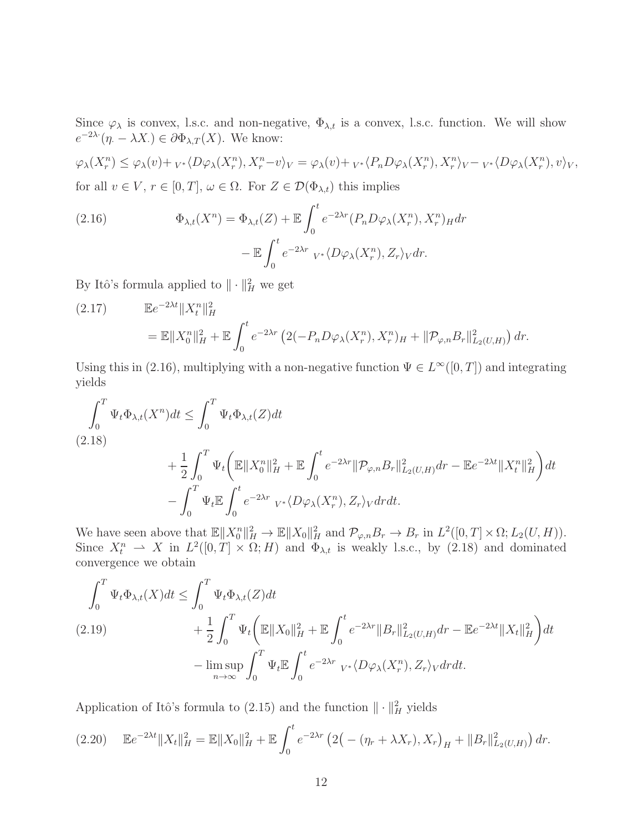Since  $\varphi_{\lambda}$  is convex, l.s.c. and non-negative,  $\Phi_{\lambda,t}$  is a convex, l.s.c. function. We will show  $e^{-2\lambda \cdot} (\eta - \lambda X) \in \partial \Phi_{\lambda, T}(X)$ . We know:

$$
\varphi_{\lambda}(X_r^n) \leq \varphi_{\lambda}(v) + {}_{V^*}\langle D\varphi_{\lambda}(X_r^n), X_r^n - v \rangle_V = \varphi_{\lambda}(v) + {}_{V^*}\langle P_n D\varphi_{\lambda}(X_r^n), X_r^n \rangle_V - {}_{V^*}\langle D\varphi_{\lambda}(X_r^n), v \rangle_V,
$$
  
for all  $v \in V$ ,  $r \in [0, T]$ ,  $\omega \in \Omega$ . For  $Z \in \mathcal{D}(\Phi_{\lambda,t})$  this implies

(2.16) 
$$
\Phi_{\lambda,t}(X^n) = \Phi_{\lambda,t}(Z) + \mathbb{E} \int_0^t e^{-2\lambda r} (P_n D\varphi_\lambda(X_r^n), X_r^n)_H dr - \mathbb{E} \int_0^t e^{-2\lambda r} v^* \langle D\varphi_\lambda(X_r^n), Z_r \rangle_V dr.
$$

By Itô's formula applied to  $\|\cdot\|_H^2$  we get

(2.17) 
$$
\mathbb{E}e^{-2\lambda t}||X_t^n||_H^2
$$
  
=  $\mathbb{E}||X_0^n||_H^2 + \mathbb{E}\int_0^t e^{-2\lambda r} \left(2(-P_n D\varphi_\lambda(X_r^n), X_r^n)_{H} + ||\mathcal{P}_{\varphi,n}B_r||_{L_2(U,H)}^2\right) dr.$ 

Using this in (2.16), multiplying with a non-negative function  $\Psi \in L^{\infty}([0, T])$  and integrating yields

$$
\int_{0}^{T} \Psi_{t} \Phi_{\lambda,t}(X^{n}) dt \leq \int_{0}^{T} \Psi_{t} \Phi_{\lambda,t}(Z) dt
$$
\n(2.18)\n
$$
+ \frac{1}{2} \int_{0}^{T} \Psi_{t} \left( \mathbb{E} \|X_{0}^{n}\|_{H}^{2} + \mathbb{E} \int_{0}^{t} e^{-2\lambda r} \| \mathcal{P}_{\varphi,n} B_{r} \|_{L_{2}(U,H)}^{2} dr - \mathbb{E} e^{-2\lambda t} \|X_{t}^{n}\|_{H}^{2} \right) dt
$$
\n
$$
- \int_{0}^{T} \Psi_{t} \mathbb{E} \int_{0}^{t} e^{-2\lambda r} \ V_{*} \langle D\varphi_{\lambda}(X_{r}^{n}), Z_{r} \rangle_{V} dr dt.
$$

We have seen above that  $\mathbb{E} \|X_0^n\|_H^2 \to \mathbb{E} \|X_0\|_H^2$  and  $\mathcal{P}_{\varphi,n}B_r \to B_r$  in  $L^2([0,T] \times \Omega; L_2(U, H)).$ Since  $X_t^n \rightharpoonup X$  in  $L^2([0,T] \times \Omega; H)$  and  $\Phi_{\lambda,t}$  is weakly l.s.c., by (2.18) and dominated convergence we obtain

$$
\int_{0}^{T} \Psi_{t} \Phi_{\lambda,t}(X) dt \leq \int_{0}^{T} \Psi_{t} \Phi_{\lambda,t}(Z) dt \n+ \frac{1}{2} \int_{0}^{T} \Psi_{t} \left( \mathbb{E} \|X_{0}\|_{H}^{2} + \mathbb{E} \int_{0}^{t} e^{-2\lambda r} \|B_{r}\|_{L_{2}(U,H)}^{2} dr - \mathbb{E} e^{-2\lambda t} \|X_{t}\|_{H}^{2} \right) dt \n- \limsup_{n \to \infty} \int_{0}^{T} \Psi_{t} \mathbb{E} \int_{0}^{t} e^{-2\lambda r} \sqrt{L_{\lambda}(X_{r}^{n}) \sqrt{L_{\lambda}(X_{r}^{n})}} d\tau dt.
$$

Application of Itô's formula to (2.15) and the function  $\|\cdot\|_H^2$  yields

$$
(2.20) \quad \mathbb{E}e^{-2\lambda t} \|X_t\|_H^2 = \mathbb{E} \|X_0\|_H^2 + \mathbb{E} \int_0^t e^{-2\lambda r} \left(2\left(-\left(\eta_r + \lambda X_r\right), X_r\right)_H + \|B_r\|_{L_2(U,H)}^2\right) dr.
$$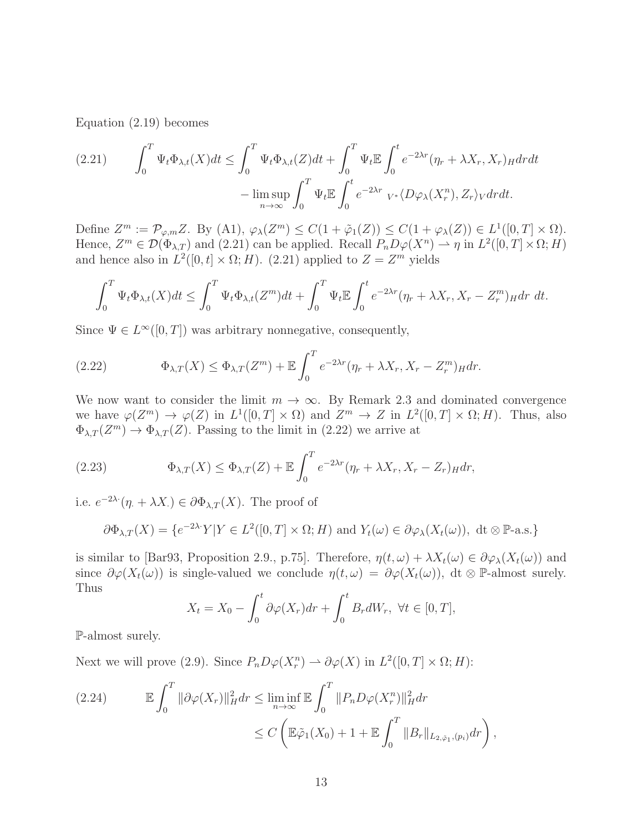Equation (2.19) becomes

$$
(2.21) \qquad \int_0^T \Psi_t \Phi_{\lambda,t}(X)dt \le \int_0^T \Psi_t \Phi_{\lambda,t}(Z)dt + \int_0^T \Psi_t \mathbb{E} \int_0^t e^{-2\lambda r} (\eta_r + \lambda X_r, X_r)_H dr dt - \limsup_{n \to \infty} \int_0^T \Psi_t \mathbb{E} \int_0^t e^{-2\lambda r} \sqrt{L} \varphi_\lambda(X_r^n), Z_r \sqrt{L} dt.
$$

Define  $Z^m := \mathcal{P}_{\varphi,m}Z$ . By  $(A1), \varphi_\lambda(Z^m) \leq C(1+\tilde{\varphi}_1(Z)) \leq C(1+\varphi_\lambda(Z)) \in L^1([0,T] \times \Omega)$ . Hence,  $Z^m \in \mathcal{D}(\Phi_{\lambda,T})$  and  $(2.21)$  can be applied. Recall  $P_n D\varphi(X^n) \rightharpoonup \eta$  in  $L^2([0,T] \times \Omega; H)$ and hence also in  $L^2([0,t] \times \Omega; H)$ . (2.21) applied to  $Z = Z^m$  yields

$$
\int_0^T \Psi_t \Phi_{\lambda,t}(X) dt \le \int_0^T \Psi_t \Phi_{\lambda,t}(Z^m) dt + \int_0^T \Psi_t \mathbb{E} \int_0^t e^{-2\lambda r} (\eta_r + \lambda X_r, X_r - Z_r^m)_H dr dt.
$$

Since  $\Psi \in L^{\infty}([0, T])$  was arbitrary nonnegative, consequently,

(2.22) 
$$
\Phi_{\lambda,T}(X) \leq \Phi_{\lambda,T}(Z^m) + \mathbb{E} \int_0^T e^{-2\lambda r} (\eta_r + \lambda X_r, X_r - Z_r^m)_H dr.
$$

We now want to consider the limit  $m \to \infty$ . By Remark 2.3 and dominated convergence we have  $\varphi(Z^m) \to \varphi(Z)$  in  $L^1([0,T] \times \Omega)$  and  $Z^m \to Z$  in  $L^2([0,T] \times \Omega; H)$ . Thus, also  $\Phi_{\lambda,T}(Z^m) \to \Phi_{\lambda,T}(Z)$ . Passing to the limit in (2.22) we arrive at

(2.23) 
$$
\Phi_{\lambda,T}(X) \leq \Phi_{\lambda,T}(Z) + \mathbb{E} \int_0^T e^{-2\lambda r} (\eta_r + \lambda X_r, X_r - Z_r)_H dr,
$$

i.e.  $e^{-2\lambda \cdot} (\eta + \lambda X) \in \partial \Phi_{\lambda, T}(X)$ . The proof of

$$
\partial \Phi_{\lambda,T}(X) = \{e^{-2\lambda \cdot \cdot} Y | Y \in L^2([0,T] \times \Omega; H) \text{ and } Y_t(\omega) \in \partial \varphi_\lambda(X_t(\omega)), \text{ dt } \otimes \mathbb{P}\text{-a.s.}\}
$$

is similar to [Bar93, Proposition 2.9., p.75]. Therefore,  $\eta(t,\omega) + \lambda X_t(\omega) \in \partial \varphi_\lambda(X_t(\omega))$  and since  $\partial \varphi(X_t(\omega))$  is single-valued we conclude  $\eta(t,\omega) = \partial \varphi(X_t(\omega))$ , dt ⊗ P-almost surely. Thus

$$
X_t = X_0 - \int_0^t \partial \varphi(X_r) dr + \int_0^t B_r dW_r, \ \forall t \in [0, T],
$$

P-almost surely.

Next we will prove (2.9). Since  $P_n D\varphi(X_r^n) \rightharpoonup \partial \varphi(X)$  in  $L^2([0, T] \times \Omega; H)$ :

(2.24) 
$$
\mathbb{E} \int_0^T \|\partial \varphi(X_r)\|_H^2 dr \leq \liminf_{n \to \infty} \mathbb{E} \int_0^T \|P_n D\varphi(X_r^n)\|_H^2 dr
$$

$$
\leq C \left( \mathbb{E} \tilde{\varphi}_1(X_0) + 1 + \mathbb{E} \int_0^T \|B_r\|_{L_{2, \tilde{\varphi}_1},(p_i)} dr \right),
$$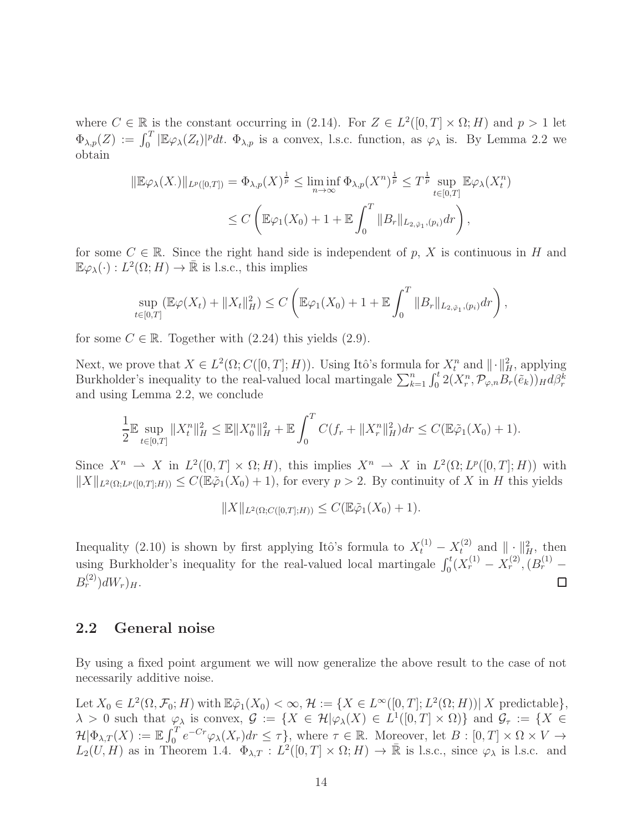where  $C \in \mathbb{R}$  is the constant occurring in (2.14). For  $Z \in L^2([0,T] \times \Omega; H)$  and  $p > 1$  let  $\Phi_{\lambda,p}(Z) := \int_0^T |\mathbb{E}\varphi_\lambda(Z_t)|^p dt$ .  $\Phi_{\lambda,p}$  is a convex, l.s.c. function, as  $\varphi_\lambda$  is. By Lemma 2.2 we obtain

$$
\|\mathbb{E}\varphi_{\lambda}(X_{\cdot})\|_{L^{p}([0,T])} = \Phi_{\lambda,p}(X)^{\frac{1}{p}} \le \liminf_{n \to \infty} \Phi_{\lambda,p}(X^{n})^{\frac{1}{p}} \le T^{\frac{1}{p}} \sup_{t \in [0,T]} \mathbb{E}\varphi_{\lambda}(X_{t}^{n})
$$
  

$$
\le C \left( \mathbb{E}\varphi_{1}(X_{0}) + 1 + \mathbb{E} \int_{0}^{T} \|B_{r}\|_{L_{2,\tilde{\varphi}_{1}},(p_{i})} dr \right),
$$

for some  $C \in \mathbb{R}$ . Since the right hand side is independent of p, X is continuous in H and  $\mathbb{E}\varphi_{\lambda}(\cdot): L^{2}(\Omega; H) \to \bar{\mathbb{R}}$  is l.s.c., this implies

$$
\sup_{t\in[0,T]} (\mathbb{E}\varphi(X_t) + \|X_t\|_H^2) \leq C \left( \mathbb{E}\varphi_1(X_0) + 1 + \mathbb{E} \int_0^T \|B_r\|_{L_{2,\tilde{\varphi}_1},(p_i)} dr \right),
$$

for some  $C \in \mathbb{R}$ . Together with  $(2.24)$  this yields  $(2.9)$ .

Next, we prove that  $X \in L^2(\Omega; C([0,T]; H))$ . Using Itô's formula for  $X_t^n$  and  $\|\cdot\|_H^2$ , applying Burkholder's inequality to the real-valued local martingale  $\sum_{k=1}^n \int_0^t 2(X_r^n, \mathcal{P}_{\varphi,n}B_r(\tilde{e}_k))_H d\beta_r^k$ and using Lemma 2.2, we conclude

$$
\frac{1}{2} \mathbb{E} \sup_{t \in [0,T]} \|X_t^n\|_H^2 \le \mathbb{E} \|X_0^n\|_H^2 + \mathbb{E} \int_0^T C(f_r + \|X_r^n\|_H^2) dr \le C(\mathbb{E} \tilde{\varphi}_1(X_0) + 1).
$$

Since  $X^n \rightharpoonup X$  in  $L^2([0,T] \times \Omega; H)$ , this implies  $X^n \rightharpoonup X$  in  $L^2(\Omega; L^p([0,T]; H))$  with  $||X||_{L^2(\Omega;L^p([0,T];H))} \leq C(\mathbb{E}\tilde{\varphi}_1(X_0)+1)$ , for every  $p>2$ . By continuity of X in H this yields

$$
||X||_{L^{2}(\Omega; C([0,T];H))} \leq C(\mathbb{E}\tilde{\varphi}_{1}(X_{0})+1).
$$

Inequality (2.10) is shown by first applying Itô's formula to  $X_t^{(1)} - X_t^{(2)}$  and  $||\cdot||_H^2$ , then using Burkholder's inequality for the real-valued local martingale  $\int_0^t (X_r^{(1)} - X_r^{(2)}, (B_r^{(1)} B_r^{(2)}$ ) $dW_r$ ) $_H$ . □

#### 2.2 General noise

By using a fixed point argument we will now generalize the above result to the case of not necessarily additive noise.

Let  $X_0 \in L^2(\Omega, \mathcal{F}_0; H)$  with  $\mathbb{E} \tilde{\varphi}_1(X_0) < \infty$ ,  $\mathcal{H} := \{ X \in L^{\infty}([0, T]; L^2(\Omega; H)) | X \text{ predictable} \},$  $\lambda > 0$  such that  $\varphi_{\lambda}$  is convex,  $\mathcal{G} := \{ X \in \mathcal{H} | \varphi_{\lambda}(X) \in L^{1}([0, T] \times \Omega) \}$  and  $\mathcal{G}_{\tau} := \{ X \in \mathcal{G} \mid \varphi_{\lambda}(X) \in L^{1}([0, T] \times \Omega) \}$  $\mathcal{H}|\Phi_{\lambda,T}(X)| := \mathbb{E} \int_0^T e^{-Cr} \varphi_\lambda(X_r) dr \leq \tau \},$  where  $\tau \in \mathbb{R}$ . Moreover, let  $B : [0, T] \times \Omega \times V \to$  $L_2(U, H)$  as in Theorem 1.4.  $\Phi_{\lambda,T} : L^2([0, T] \times \Omega; H) \to \mathbb{R}$  is l.s.c., since  $\varphi_\lambda$  is l.s.c. and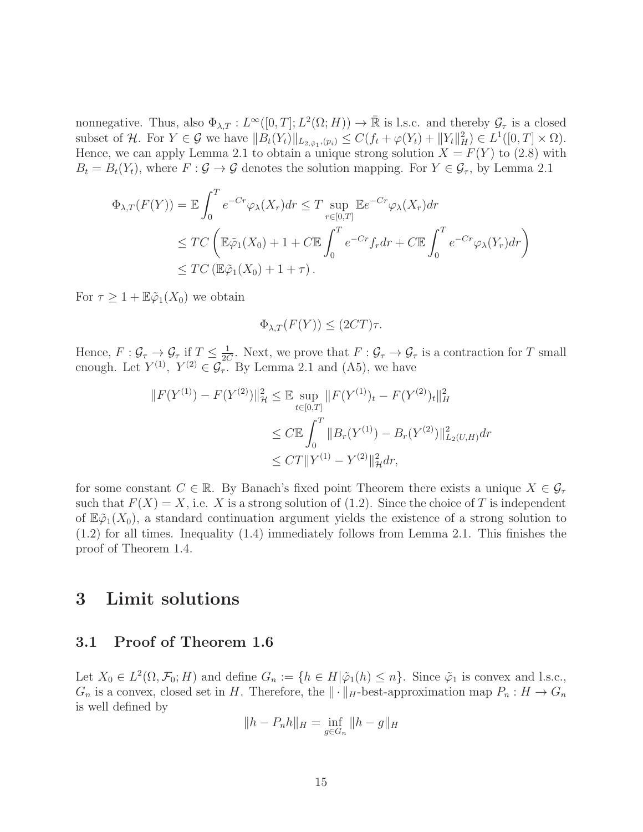nonnegative. Thus, also  $\Phi_{\lambda,T}: L^{\infty}([0,T]; L^2(\Omega; H)) \to \bar{\mathbb{R}}$  is l.s.c. and thereby  $\mathcal{G}_{\tau}$  is a closed subset of H. For  $Y \in \mathcal{G}$  we have  $||B_t(Y_t)||_{L_{2,\tilde{\varphi}_1},(p_i)} \leq C(f_t + \varphi(Y_t) + ||Y_t||_H^2) \in L^1([0,T] \times \Omega)$ . Hence, we can apply Lemma 2.1 to obtain a unique strong solution  $X = F(Y)$  to (2.8) with  $B_t = B_t(Y_t)$ , where  $F : \mathcal{G} \to \mathcal{G}$  denotes the solution mapping. For  $Y \in \mathcal{G}_{\tau}$ , by Lemma 2.1

$$
\Phi_{\lambda,T}(F(Y)) = \mathbb{E} \int_0^T e^{-Cr} \varphi_\lambda(X_r) dr \le T \sup_{r \in [0,T]} \mathbb{E} e^{-Cr} \varphi_\lambda(X_r) dr
$$
  
\n
$$
\le TC \left( \mathbb{E} \tilde{\varphi}_1(X_0) + 1 + C \mathbb{E} \int_0^T e^{-Cr} f_r dr + C \mathbb{E} \int_0^T e^{-Cr} \varphi_\lambda(Y_r) dr \right)
$$
  
\n
$$
\le TC \left( \mathbb{E} \tilde{\varphi}_1(X_0) + 1 + \tau \right).
$$

For  $\tau \geq 1 + \mathbb{E} \tilde{\varphi}_1(X_0)$  we obtain

$$
\Phi_{\lambda,T}(F(Y)) \le (2CT)\tau.
$$

Hence,  $F: \mathcal{G}_{\tau} \to \mathcal{G}_{\tau}$  if  $T \leq \frac{1}{20}$  $\frac{1}{2C}$ . Next, we prove that  $F: \mathcal{G}_{\tau} \to \mathcal{G}_{\tau}$  is a contraction for T small enough. Let  $Y^{(1)}$ ,  $Y^{(2)} \in \mathcal{G}_{\tau}$ . By Lemma 2.1 and (A5), we have

$$
||F(Y^{(1)}) - F(Y^{(2)})||_{\mathcal{H}}^2 \le \mathbb{E} \sup_{t \in [0,T]} ||F(Y^{(1)})_t - F(Y^{(2)})_t||_H^2
$$
  

$$
\le C \mathbb{E} \int_0^T ||B_r(Y^{(1)}) - B_r(Y^{(2)})||_{L_2(U,H)}^2 dr
$$
  

$$
\le C T ||Y^{(1)} - Y^{(2)}||_{\mathcal{H}}^2 dr,
$$

for some constant  $C \in \mathbb{R}$ . By Banach's fixed point Theorem there exists a unique  $X \in \mathcal{G}_{\tau}$ such that  $F(X) = X$ , i.e. X is a strong solution of (1.2). Since the choice of T is independent of  $\mathbb{E}\tilde{\varphi}_1(X_0)$ , a standard continuation argument yields the existence of a strong solution to (1.2) for all times. Inequality (1.4) immediately follows from Lemma 2.1. This finishes the proof of Theorem 1.4.

## 3 Limit solutions

### 3.1 Proof of Theorem 1.6

Let  $X_0 \in L^2(\Omega, \mathcal{F}_0; H)$  and define  $G_n := \{h \in H | \tilde{\varphi}_1(h) \leq n\}$ . Since  $\tilde{\varphi}_1$  is convex and l.s.c.,  $G_n$  is a convex, closed set in H. Therefore, the  $\|\cdot\|_H$ -best-approximation map  $P_n : H \to G_n$ is well defined by

$$
||h - P_n h||_H = \inf_{g \in G_n} ||h - g||_H
$$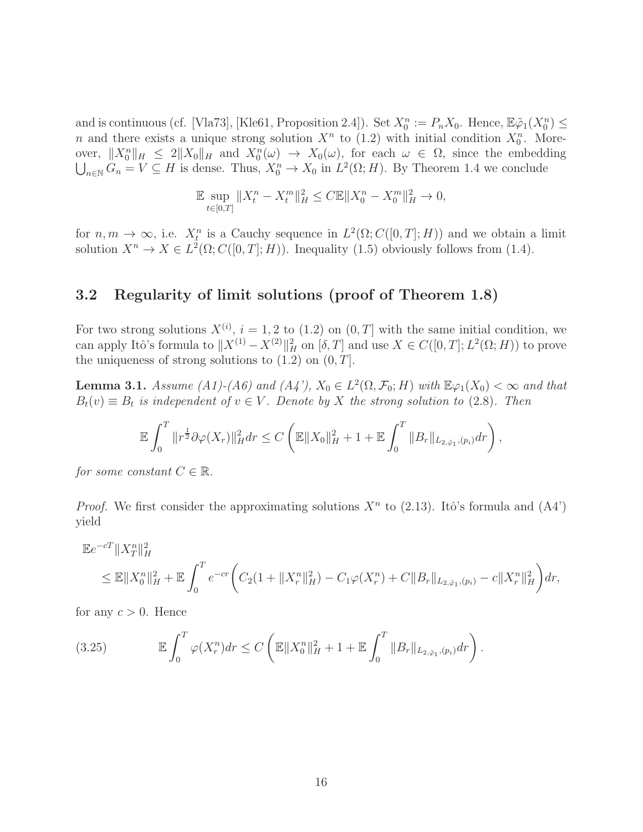and is continuous (cf. [Vla73], [Kle61, Proposition 2.4]). Set  $X_0^n := P_n X_0$ . Hence,  $\mathbb{E}\tilde{\varphi}_1(X_0^n) \leq$ n and there exists a unique strong solution  $X^n$  to (1.2) with initial condition  $X_0^n$ . Moreover,  $||X_0^n||_H \leq 2||X_0||_H$  and  $X_0^n(\omega) \to X_0(\omega)$ , for each  $\omega \in \Omega$ , since the embedding  $\bigcup_{n\in\mathbb{N}} G_n = V \subseteq H$  is dense. Thus,  $X_0^n \to X_0$  in  $L^2(\Omega; H)$ . By Theorem 1.4 we conclude

$$
\mathbb{E} \sup_{t \in [0,T]} \|X_t^n - X_t^m\|_H^2 \le C \mathbb{E} \|X_0^n - X_0^m\|_H^2 \to 0,
$$

for  $n, m \to \infty$ , i.e.  $X_t^n$  is a Cauchy sequence in  $L^2(\Omega; C([0,T]; H))$  and we obtain a limit solution  $X^n \to X \in L^2(\Omega; C([0, T]; H))$ . Inequality (1.5) obviously follows from (1.4).

## 3.2 Regularity of limit solutions (proof of Theorem 1.8)

For two strong solutions  $X^{(i)}$ ,  $i = 1, 2$  to  $(1.2)$  on  $(0, T]$  with the same initial condition, we can apply Itô's formula to  $||X^{(1)} - X^{(2)}||_H^2$  on  $[\delta, T]$  and use  $X \in C([0, T]; L^2(\Omega; H))$  to prove the uniqueness of strong solutions to  $(1.2)$  on  $(0, T]$ .

**Lemma 3.1.** Assume (A1)-(A6) and (A4'),  $X_0 \in L^2(\Omega, \mathcal{F}_0; H)$  with  $\mathbb{E}\varphi_1(X_0) < \infty$  and that  $B_t(v) \equiv B_t$  is independent of  $v \in V$ . Denote by X the strong solution to (2.8). Then

$$
\mathbb{E}\int_0^T \|r^{\frac{1}{2}}\partial\varphi(X_r)\|_H^2 dr \leq C \left( \mathbb{E}\|X_0\|_H^2 + 1 + \mathbb{E}\int_0^T \|B_r\|_{L_{2,\tilde{\varphi}_1},(p_i)} dr \right),
$$

for some constant  $C \in \mathbb{R}$ .

*Proof.* We first consider the approximating solutions  $X<sup>n</sup>$  to (2.13). Itô's formula and (A4') yield

$$
\mathbb{E}e^{-cT} \|X_T^n\|_H^2
$$
  
\n
$$
\leq \mathbb{E} \|X_0^n\|_H^2 + \mathbb{E} \int_0^T e^{-cr} \bigg( C_2 \big( 1 + \|X_r^n\|_H^2 \big) - C_1 \varphi(X_r^n) + C \|B_r\|_{L_{2,\tilde{\varphi}_1},(p_i)} - c \|X_r^n\|_H^2 \bigg) dr,
$$

for any  $c > 0$ . Hence

(3.25) 
$$
\mathbb{E} \int_0^T \varphi(X_r^n) dr \leq C \left( \mathbb{E} \|X_0^n\|_H^2 + 1 + \mathbb{E} \int_0^T \|B_r\|_{L_{2, \tilde{\varphi}_1}, (p_i)} dr \right).
$$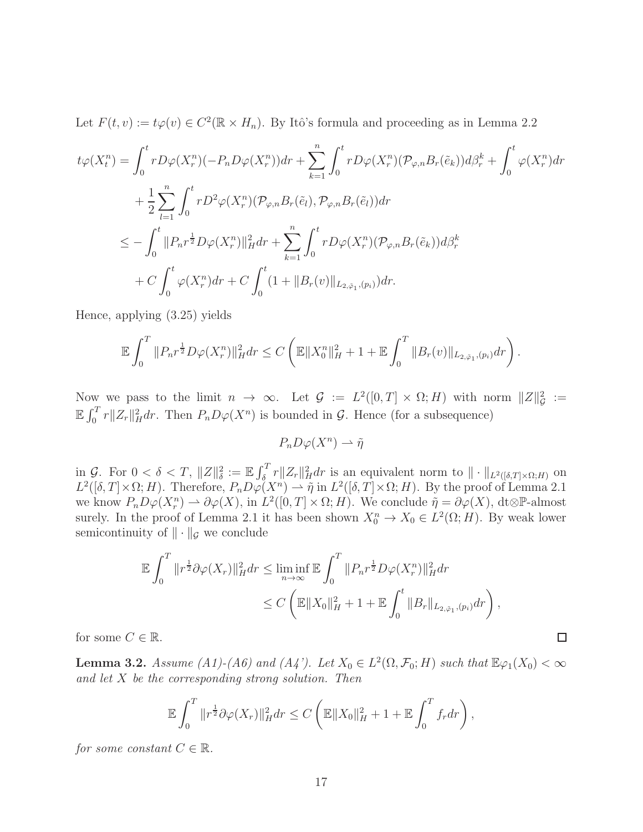Let  $F(t, v) := t\varphi(v) \in C^2(\mathbb{R} \times H_n)$ . By Itô's formula and proceeding as in Lemma 2.2

$$
t\varphi(X_t^n) = \int_0^t r D\varphi(X_r^n) (-P_n D\varphi(X_r^n)) dr + \sum_{k=1}^n \int_0^t r D\varphi(X_r^n) (\mathcal{P}_{\varphi,n} B_r(\tilde{e}_k)) d\beta_r^k + \int_0^t \varphi(X_r^n) dr + \frac{1}{2} \sum_{l=1}^n \int_0^t r D^2 \varphi(X_r^n) (\mathcal{P}_{\varphi,n} B_r(\tilde{e}_l), \mathcal{P}_{\varphi,n} B_r(\tilde{e}_l)) dr \n\leq - \int_0^t \|P_n r^{\frac{1}{2}} D\varphi(X_r^n) \|_H^2 dr + \sum_{k=1}^n \int_0^t r D\varphi(X_r^n) (\mathcal{P}_{\varphi,n} B_r(\tilde{e}_k)) d\beta_r^k + C \int_0^t \varphi(X_r^n) dr + C \int_0^t (1 + \|B_r(v)\|_{L_{2,\tilde{\varphi}_1},(p_i)}) dr.
$$

Hence, applying (3.25) yields

$$
\mathbb{E}\int_0^T \|P_n r^{\frac{1}{2}} D\varphi(X_r^n)\|_H^2 dr \leq C \left( \mathbb{E}\|X_0^n\|_H^2 + 1 + \mathbb{E}\int_0^T \|B_r(v)\|_{L_{2,\tilde{\varphi}_1},(p_i)} dr \right).
$$

Now we pass to the limit  $n \to \infty$ . Let  $\mathcal{G} := L^2([0,T] \times \Omega; H)$  with norm  $||Z||_{\mathcal{G}}^2 :=$  $\mathbb{E} \int_0^T r \|Z_r\|_H^2 dr$ . Then  $P_n D\varphi(X^n)$  is bounded in  $\mathcal{G}$ . Hence (for a subsequence)

 $P_n D\varphi(X^n) \rightharpoonup \tilde{\eta}$ 

 $\inf_{\mathcal{L} \in \mathbb{R}} \mathcal{L}_{\mathcal{L}} \circ \mathcal{L}_{\mathcal{L}} \circ \mathcal{L}_{\mathcal{L}} \circ \mathcal{L}_{\mathcal{L}} \circ \mathcal{L}_{\mathcal{L}} \circ \mathcal{L}_{\mathcal{L}} \circ \mathcal{L}_{\mathcal{L}} \circ \mathcal{L}_{\mathcal{L}} \circ \mathcal{L}_{\mathcal{L}} \circ \mathcal{L}_{\mathcal{L}} \circ \mathcal{L}_{\mathcal{L}} \circ \mathcal{L}_{\mathcal{L}} \circ \mathcal{L}_{\mathcal{L}} \circ \mathcal{L}_{\mathcal{L}} \circ \mathcal{L}_{\$  $L^2([\delta,T] \times \Omega; H)$ . Therefore,  $P_n D\varphi(X^n) \to \tilde{\eta}$  in  $L^2([\delta,T] \times \Omega; H)$ . By the proof of Lemma 2.1 we know  $P_n D\varphi(X_r^n) \rightharpoonup \partial \varphi(X)$ , in  $L^2([0,T] \times \Omega; H)$ . We conclude  $\tilde{\eta} = \partial \varphi(X)$ , dt⊗P-almost surely. In the proof of Lemma 2.1 it has been shown  $X_0^n \to X_0 \in L^2(\Omega; H)$ . By weak lower semicontinuity of  $\|\cdot\|_{\mathcal{G}}$  we conclude

$$
\mathbb{E} \int_0^T \|r^{\frac{1}{2}} \partial \varphi(X_r)\|_H^2 dr \le \liminf_{n \to \infty} \mathbb{E} \int_0^T \|P_n r^{\frac{1}{2}} D \varphi(X_r^n)\|_H^2 dr \n\le C \left( \mathbb{E} \|X_0\|_H^2 + 1 + \mathbb{E} \int_0^t \|B_r\|_{L_{2, \tilde{\varphi}_1},(p_i)} dr \right),
$$

for some  $C \in \mathbb{R}$ .

**Lemma 3.2.** Assume (A1)-(A6) and (A4'). Let  $X_0 \in L^2(\Omega, \mathcal{F}_0; H)$  such that  $\mathbb{E}\varphi_1(X_0) < \infty$ and let  $X$  be the corresponding strong solution. Then

 $\Box$ 

$$
\mathbb{E}\int_0^T\|r^{\frac{1}{2}}\partial\varphi(X_r)\|_H^2dr\leq C\left(\mathbb{E}\|X_0\|_H^2+1+\mathbb{E}\int_0^Tf_rdr\right),
$$

for some constant  $C \in \mathbb{R}$ .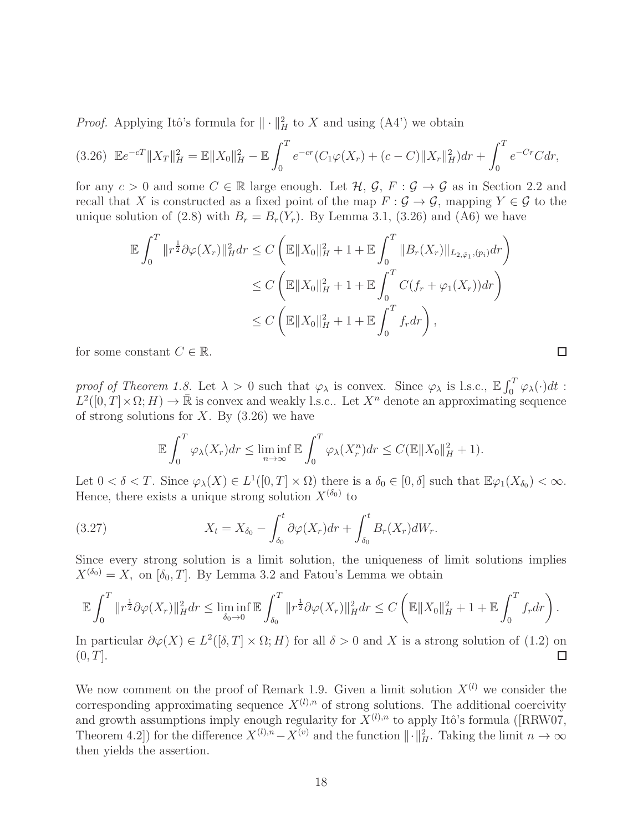*Proof.* Applying Itô's formula for  $\|\cdot\|_H^2$  to X and using (A4') we obtain

$$
(3.26)\ \ \mathbb{E}e^{-cT}||X_T||_H^2 = \mathbb{E}||X_0||_H^2 - \mathbb{E}\int_0^T e^{-cr}(C_1\varphi(X_r) + (c-C)||X_r||_H^2)dr + \int_0^T e^{-Cr}Cdr,
$$

for any  $c > 0$  and some  $C \in \mathbb{R}$  large enough. Let  $\mathcal{H}, \mathcal{G}, F : \mathcal{G} \to \mathcal{G}$  as in Section 2.2 and recall that X is constructed as a fixed point of the map  $F : \mathcal{G} \to \mathcal{G}$ , mapping  $Y \in \mathcal{G}$  to the unique solution of (2.8) with  $B_r = B_r(Y_r)$ . By Lemma 3.1, (3.26) and (A6) we have

$$
\mathbb{E} \int_0^T \|r^{\frac{1}{2}} \partial \varphi(X_r)\|_H^2 dr \le C \left( \mathbb{E} \|X_0\|_H^2 + 1 + \mathbb{E} \int_0^T \|B_r(X_r)\|_{L_{2, \tilde{\varphi}_1}, (p_i)} dr \right)
$$
  

$$
\le C \left( \mathbb{E} \|X_0\|_H^2 + 1 + \mathbb{E} \int_0^T C(f_r + \varphi_1(X_r)) dr \right)
$$
  

$$
\le C \left( \mathbb{E} \|X_0\|_H^2 + 1 + \mathbb{E} \int_0^T f_r dr \right),
$$

for some constant  $C \in \mathbb{R}$ .

proof of Theorem 1.8. Let  $\lambda > 0$  such that  $\varphi_{\lambda}$  is convex. Since  $\varphi_{\lambda}$  is l.s.c.,  $\mathbb{E} \int_0^T \varphi_{\lambda}(\cdot) dt$ :  $L^2([0,T]\times\Omega;H)\to\bar{\mathbb{R}}$  is convex and weakly l.s.c.. Let  $X^n$  denote an approximating sequence of strong solutions for X. By  $(3.26)$  we have

$$
\mathbb{E}\int_0^T \varphi_\lambda(X_r)dr \le \liminf_{n\to\infty} \mathbb{E}\int_0^T \varphi_\lambda(X_r^n)dr \le C(\mathbb{E}\|X_0\|_H^2 + 1).
$$

Let  $0 < \delta < T$ . Since  $\varphi_{\lambda}(X) \in L^{1}([0, T] \times \Omega)$  there is a  $\delta_{0} \in [0, \delta]$  such that  $\mathbb{E}\varphi_{1}(X_{\delta_{0}}) < \infty$ . Hence, there exists a unique strong solution  $X^{(\delta_0)}$  to

(3.27) 
$$
X_t = X_{\delta_0} - \int_{\delta_0}^t \partial \varphi(X_r) dr + \int_{\delta_0}^t B_r(X_r) dW_r.
$$

Since every strong solution is a limit solution, the uniqueness of limit solutions implies  $X^{(\delta_0)} = X$ , on  $[\delta_0, T]$ . By Lemma 3.2 and Fatou's Lemma we obtain

$$
\mathbb{E}\int_0^T\|r^{\frac{1}{2}}\partial\varphi(X_r)\|_H^2dr\leq \liminf_{\delta_0\to 0}\mathbb{E}\int_{\delta_0}^T\|r^{\frac{1}{2}}\partial\varphi(X_r)\|_H^2dr\leq C\left(\mathbb{E}\|X_0\|_H^2+1+\mathbb{E}\int_0^Tf_rdr\right).
$$

In particular  $\partial \varphi(X) \in L^2([0,T] \times \Omega; H)$  for all  $\delta > 0$  and X is a strong solution of (1.2) on  $(0, T]$ .

We now comment on the proof of Remark 1.9. Given a limit solution  $X^{(l)}$  we consider the corresponding approximating sequence  $X^{(l),n}$  of strong solutions. The additional coercivity and growth assumptions imply enough regularity for  $X^{(l),n}$  to apply Itô's formula ([RRW07, Theorem 4.2]) for the difference  $X^{(l),n}-X^{(v)}$  and the function  $\|\cdot\|_H^2$ . Taking the limit  $n \to \infty$ then yields the assertion.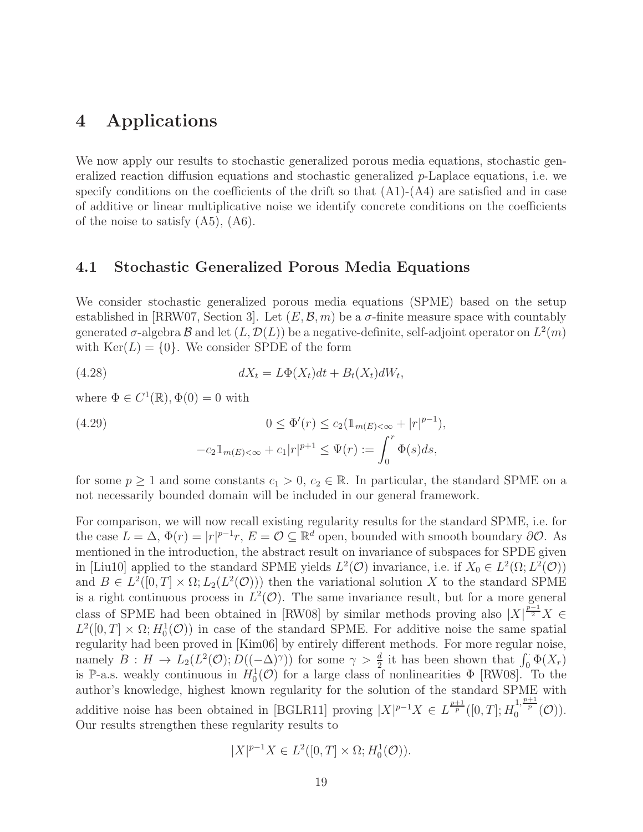## 4 Applications

We now apply our results to stochastic generalized porous media equations, stochastic generalized reaction diffusion equations and stochastic generalized p-Laplace equations, i.e. we specify conditions on the coefficients of the drift so that  $(A1)-(A4)$  are satisfied and in case of additive or linear multiplicative noise we identify concrete conditions on the coefficients of the noise to satisfy  $(A5)$ ,  $(A6)$ .

#### 4.1 Stochastic Generalized Porous Media Equations

We consider stochastic generalized porous media equations (SPME) based on the setup established in [RRW07, Section 3]. Let  $(E, \mathcal{B}, m)$  be a  $\sigma$ -finite measure space with countably generated  $\sigma$ -algebra  $\mathcal B$  and let  $(L, \mathcal D(L))$  be a negative-definite, self-adjoint operator on  $L^2(m)$ with  $\text{Ker}(L) = \{0\}$ . We consider SPDE of the form

(4.28) 
$$
dX_t = L\Phi(X_t)dt + B_t(X_t)dW_t,
$$

where  $\Phi \in C^1(\mathbb{R}), \Phi(0) = 0$  with

(4.29) 
$$
0 \leq \Phi'(r) \leq c_2 (\mathbb{1}_{m(E) < \infty} + |r|^{p-1}),
$$

$$
-c_2 \mathbb{1}_{m(E) < \infty} + c_1 |r|^{p+1} \leq \Psi(r) := \int_0^r \Phi(s) ds,
$$

for some  $p \ge 1$  and some constants  $c_1 > 0$ ,  $c_2 \in \mathbb{R}$ . In particular, the standard SPME on a not necessarily bounded domain will be included in our general framework.

For comparison, we will now recall existing regularity results for the standard SPME, i.e. for the case  $L = \Delta$ ,  $\Phi(r) = |r|^{p-1}r$ ,  $E = \mathcal{O} \subseteq \mathbb{R}^d$  open, bounded with smooth boundary  $\partial \mathcal{O}$ . As mentioned in the introduction, the abstract result on invariance of subspaces for SPDE given in [Liu10] applied to the standard SPME yields  $L^2(\mathcal{O})$  invariance, i.e. if  $X_0 \in L^2(\Omega; L^2(\mathcal{O}))$ and  $B \in L^2([0,T] \times \Omega; L_2(L^2(\mathcal{O})))$  then the variational solution X to the standard SPME is a right continuous process in  $L^2(\mathcal{O})$ . The same invariance result, but for a more general class of SPME had been obtained in [RW08] by similar methods proving also  $|X|^{\frac{p-1}{2}}X \in$  $L^2([0,T] \times \Omega; H_0^1(\mathcal{O}))$  in case of the standard SPME. For additive noise the same spatial regularity had been proved in [Kim06] by entirely different methods. For more regular noise, namely  $B: H \to L_2(L^2(\mathcal{O}); D((-\Delta)^{\gamma}))$  for some  $\gamma > \frac{d}{2}$  it has been shown that  $\int_0^{\infty} \Phi(X_r)$ is P-a.s. weakly continuous in  $H_0^1(\mathcal{O})$  for a large class of nonlinearities  $\Phi$  [RW08]. To the author's knowledge, highest known regularity for the solution of the standard SPME with additive noise has been obtained in [BGLR11] proving  $|X|^{p-1}X \in L^{\frac{p+1}{p}}([0,T];H_0^{1,\frac{p+1}{p}}(\mathcal{O}))$ . Our results strengthen these regularity results to

$$
|X|^{p-1}X \in L^2([0,T] \times \Omega; H_0^1(\mathcal{O})).
$$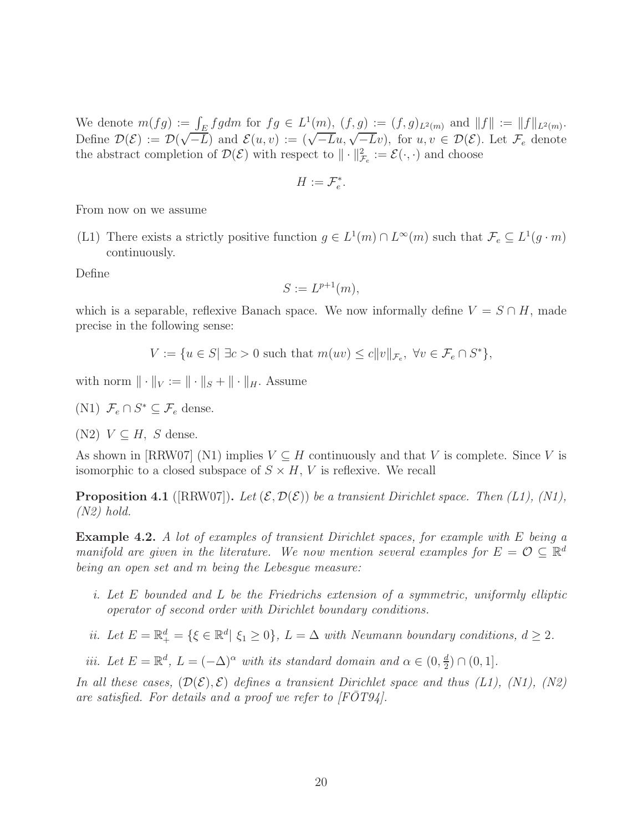We denote  $m(fg) := \int_E fg dm$  for  $fg \in L^1(\underline{m})$ ,  $(f, g) := (f, g)_{L^2(m)}$  and  $||f|| := ||f||_{L^2(m)}$ . Define  $\mathcal{D}(\mathcal{E}) := \mathcal{D}(\sqrt{-L})$  and  $\mathcal{E}(u, v) := (\sqrt{-L}u, \sqrt{-L}v)$ , for  $u, v \in \mathcal{D}(\mathcal{E})$ . Let  $\mathcal{F}_e$  denote the abstract completion of  $\mathcal{D}(\mathcal{E})$  with respect to  $\|\cdot\|_{\mathcal{F}_e}^2 := \mathcal{E}(\cdot, \cdot)$  and choose

$$
H:=\mathcal{F}_e^*.
$$

From now on we assume

(L1) There exists a strictly positive function  $g \in L^1(m) \cap L^{\infty}(m)$  such that  $\mathcal{F}_e \subseteq L^1(g \cdot m)$ continuously.

Define

$$
S := L^{p+1}(m),
$$

which is a separable, reflexive Banach space. We now informally define  $V = S \cap H$ , made precise in the following sense:

$$
V := \{ u \in S | \exists c > 0 \text{ such that } m(uv) \le c \|v\|_{\mathcal{F}_e}, \ \forall v \in \mathcal{F}_e \cap S^* \},
$$

with norm  $\|\cdot\|_V := \|\cdot\|_S + \|\cdot\|_H$ . Assume

(N1)  $\mathcal{F}_e \cap S^* \subseteq \mathcal{F}_e$  dense.

(N2)  $V \subseteq H$ , S dense.

As shown in [RRW07] (N1) implies  $V \subseteq H$  continuously and that V is complete. Since V is isomorphic to a closed subspace of  $S \times H$ , V is reflexive. We recall

**Proposition 4.1** ([RRW07]). Let  $(\mathcal{E}, \mathcal{D}(\mathcal{E}))$  be a transient Dirichlet space. Then (L1), (N1),  $(N2)$  hold.

Example 4.2. A lot of examples of transient Dirichlet spaces, for example with E being a manifold are given in the literature. We now mention several examples for  $E = \mathcal{O} \subseteq \mathbb{R}^d$ being an open set and m being the Lebesgue measure:

- i. Let E bounded and L be the Friedrichs extension of a symmetric, uniformly elliptic operator of second order with Dirichlet boundary conditions.
- ii. Let  $E = \mathbb{R}^d_+ = \{ \xi \in \mathbb{R}^d | \xi_1 \ge 0 \}$ ,  $L = \Delta$  with Neumann boundary conditions,  $d \ge 2$ .

iii. Let  $E = \mathbb{R}^d$ ,  $L = (-\Delta)^{\alpha}$  with its standard domain and  $\alpha \in (0, \frac{d}{2})$  $\frac{d}{2}) \cap (0,1].$ 

In all these cases,  $(\mathcal{D}(\mathcal{E}), \mathcal{E})$  defines a transient Dirichlet space and thus (L1), (N1), (N2) are satisfied. For details and a proof we refer to  $[FOT94]$ .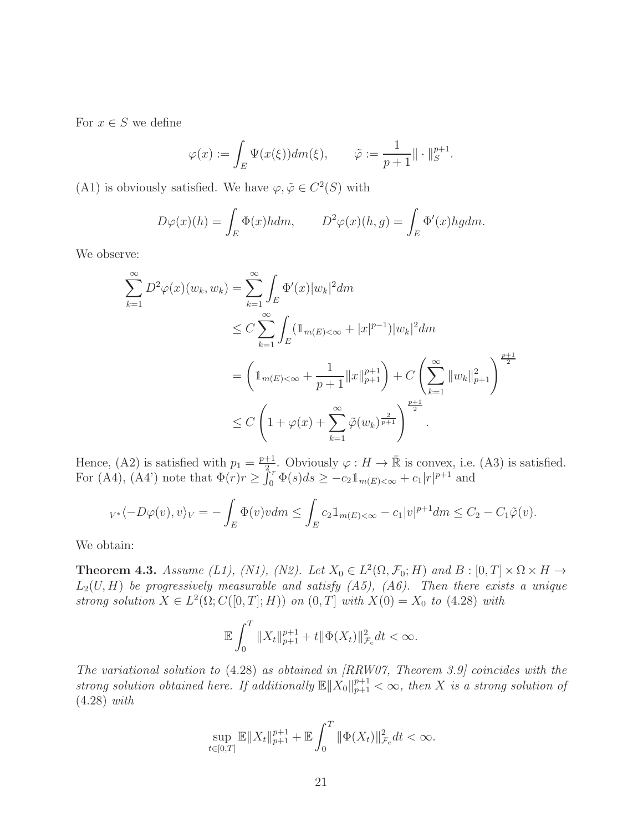For  $x \in S$  we define

$$
\varphi(x) := \int_E \Psi(x(\xi)) dm(\xi), \qquad \tilde{\varphi} := \frac{1}{p+1} || \cdot ||_S^{p+1}.
$$

(A1) is obviously satisfied. We have  $\varphi, \tilde{\varphi} \in C^2(S)$  with

$$
D\varphi(x)(h) = \int_E \Phi(x)h dm, \qquad D^2\varphi(x)(h,g) = \int_E \Phi'(x)h g dm.
$$

We observe:

$$
\sum_{k=1}^{\infty} D^2 \varphi(x)(w_k, w_k) = \sum_{k=1}^{\infty} \int_E \Phi'(x) |w_k|^2 dm
$$
  
\n
$$
\leq C \sum_{k=1}^{\infty} \int_E (\mathbb{1}_{m(E) < \infty} + |x|^{p-1}) |w_k|^2 dm
$$
  
\n
$$
= \left( \mathbb{1}_{m(E) < \infty} + \frac{1}{p+1} ||x||_{p+1}^{p+1} \right) + C \left( \sum_{k=1}^{\infty} ||w_k||_{p+1}^2 \right)^{\frac{p+1}{2}}
$$
  
\n
$$
\leq C \left( 1 + \varphi(x) + \sum_{k=1}^{\infty} \tilde{\varphi}(w_k)^{\frac{2}{p+1}} \right)^{\frac{p+1}{2}}.
$$

Hence, (A2) is satisfied with  $p_1 = \frac{p+1}{2}$  $\frac{+1}{2r}$ . Obviously  $\varphi: H \to \mathbb{R}$  is convex, i.e. (A3) is satisfied. For (A4), (A4') note that  $\Phi(r)r \geq \int_0^r \Phi(s)ds \geq -c_2 \mathbb{1}_{m(E)< \infty} + c_1|r|^{p+1}$  and

$$
{}_{V^*}\langle -D\varphi(v),v\rangle_V = -\int_E \Phi(v)v dm \leq \int_E c_2 1\!\!1_{m(E)<\infty} - c_1|v|^{p+1} dm \leq C_2 - C_1\tilde{\varphi}(v).
$$

We obtain:

**Theorem 4.3.** Assume (L1), (N1), (N2). Let  $X_0 \in L^2(\Omega, \mathcal{F}_0; H)$  and  $B : [0, T] \times \Omega \times H \rightarrow$  $L_2(U, H)$  be progressively measurable and satisfy  $(A5)$ ,  $(A6)$ . Then there exists a unique strong solution  $X \in L^2(\Omega; C([0, T]; H))$  on  $(0, T]$  with  $X(0) = X_0$  to  $(4.28)$  with

$$
\mathbb{E}\int_0^T \|X_t\|_{p+1}^{p+1} + t \|\Phi(X_t)\|_{\mathcal{F}_e}^2 dt < \infty.
$$

The variational solution to (4.28) as obtained in [RRW07, Theorem 3.9] coincides with the strong solution obtained here. If additionally  $\mathbb{E} \|X_0\|_{p+1}^{p+1} < \infty$ , then X is a strong solution of (4.28) with

$$
\sup_{t \in [0,T]} \mathbb{E} \|X_t\|_{p+1}^{p+1} + \mathbb{E} \int_0^T \|\Phi(X_t)\|_{\mathcal{F}_e}^2 dt < \infty.
$$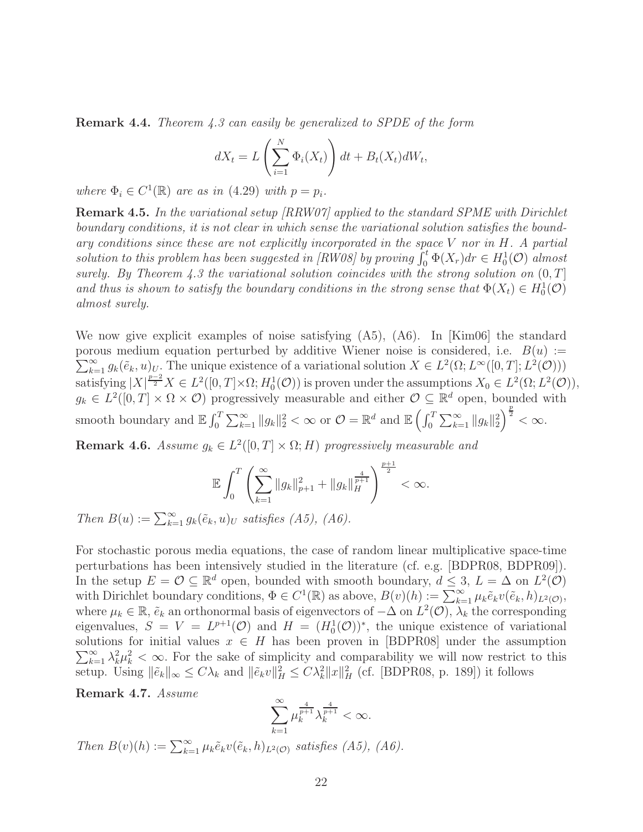Remark 4.4. Theorem 4.3 can easily be generalized to SPDE of the form

$$
dX_t = L\left(\sum_{i=1}^N \Phi_i(X_t)\right) dt + B_t(X_t) dW_t,
$$

where  $\Phi_i \in C^1(\mathbb{R})$  are as in (4.29) with  $p = p_i$ .

Remark 4.5. In the variational setup [RRW07] applied to the standard SPME with Dirichlet boundary conditions, it is not clear in which sense the variational solution satisfies the boundary conditions since these are not explicitly incorporated in the space  $V$  nor in  $H$ . A partial solution to this problem has been suggested in [RW08] by proving  $\int_0^t \Phi(X_r) dr \in H_0^1(\mathcal{O})$  almost surely. By Theorem 4.3 the variational solution coincides with the strong solution on  $(0, T]$ and thus is shown to satisfy the boundary conditions in the strong sense that  $\Phi(X_t) \in H_0^1(\mathcal{O})$ almost surely.

We now give explicit examples of noise satisfying (A5), (A6). In [Kim06] the standard porous medium equation perturbed by additive Wiener noise is considered, i.e.  $B(u) :=$  $\sum_{k=1}^{\infty} g_k(\tilde{e}_k, u)_U$ . The unique existence of a variational solution  $X \in L^2(\Omega; L^{\infty}([0, T]; L^2(\mathcal{O})))$ satisfying  $|X|^{\frac{p-2}{2}}X \in L^2([0,T] \times \Omega; H_0^1(\mathcal{O}))$  is proven under the assumptions  $X_0 \in L^2(\Omega; L^2(\mathcal{O}))$ ,  $g_k \in L^2([0,T] \times \Omega \times \mathcal{O})$  progressively measurable and either  $\mathcal{O} \subseteq \mathbb{R}^d$  open, bounded with smooth boundary and  $\mathbb{E} \int_0^T \sum_{k=1}^{\infty} ||g_k||_2^2 < \infty$  or  $\mathcal{O} = \mathbb{R}^d$  and  $\mathbb{E} \left( \int_0^T \sum_{k=1}^{\infty} ||g_k||_2^2 \right)^{\frac{p}{2}} < \infty$ .

**Remark 4.6.** Assume  $g_k \in L^2([0,T] \times \Omega; H)$  progressively measurable and

$$
\mathbb{E}\int_0^T \left(\sum_{k=1}^\infty \|g_k\|_{p+1}^2 + \|g_k\|_H^{\frac{4}{p+1}}\right)^{\frac{p+1}{2}} < \infty.
$$

Then  $B(u) := \sum_{k=1}^{\infty} g_k(\tilde{e}_k, u)_U$  satisfies (A5), (A6).

For stochastic porous media equations, the case of random linear multiplicative space-time perturbations has been intensively studied in the literature (cf. e.g. [BDPR08, BDPR09]). In the setup  $E = \mathcal{O} \subseteq \mathbb{R}^d$  open, bounded with smooth boundary,  $d \leq 3$ ,  $L = \Delta$  on  $L^2(\mathcal{O})$ with Dirichlet boundary conditions,  $\Phi \in C^1(\mathbb{R})$  as above,  $B(v)(h) := \sum_{k=1}^{\infty} \mu_k \tilde{e}_k v(\tilde{e}_k, h)_{L^2(\mathcal{O})}$ , where  $\mu_k \in \mathbb{R}$ ,  $\tilde{e}_k$  an orthonormal basis of eigenvectors of  $-\Delta$  on  $L^2(\mathcal{O})$ ,  $\lambda_k$  the corresponding eigenvalues,  $S = V = L^{p+1}(\mathcal{O})$  and  $H = (H_0^1(\mathcal{O}))^*$ , the unique existence of variational  $\sum_{k=1}^{\infty} \lambda_k^2 \mu_k^2 < \infty$ . For the sake of simplicity and comparability we will now restrict to this solutions for initial values  $x \in H$  has been proven in [BDPR08] under the assumption setup. Using  $\|\tilde{e}_k\|_{\infty} \leq C\lambda_k$  and  $\|\tilde{e}_k v\|_H^2 \leq C\lambda_k^2 \|x\|_H^2$  (cf. [BDPR08, p. 189]) it follows

Remark 4.7. Assume

$$
\sum_{k=1}^\infty \mu_k^{\frac{4}{p+1}}\lambda_k^{\frac{4}{p+1}} < \infty.
$$

Then  $B(v)(h) := \sum_{k=1}^{\infty} \mu_k \tilde{e}_k v(\tilde{e}_k, h)_{L^2(\mathcal{O})}$  satisfies (A5), (A6).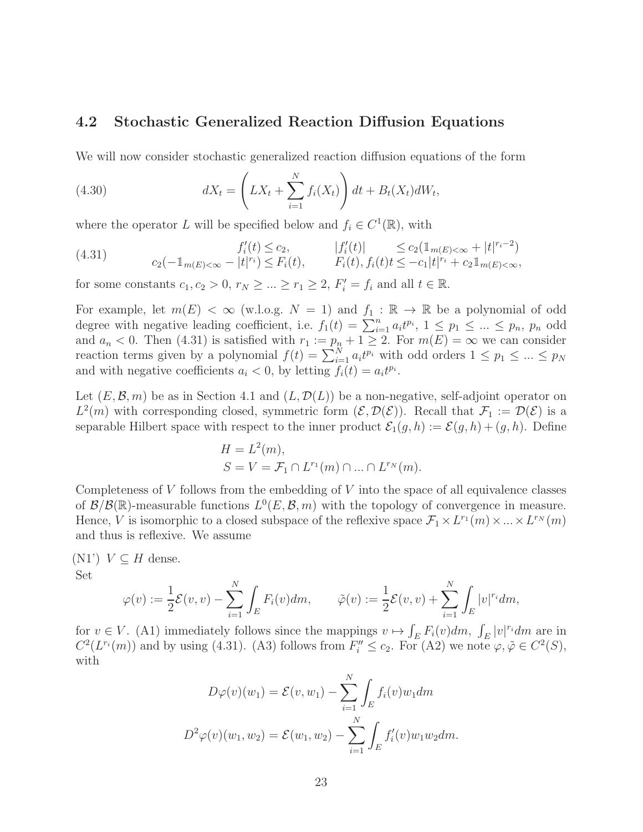#### 4.2 Stochastic Generalized Reaction Diffusion Equations

We will now consider stochastic generalized reaction diffusion equations of the form

(4.30) 
$$
dX_t = \left(LX_t + \sum_{i=1}^N f_i(X_t)\right)dt + B_t(X_t)dW_t,
$$

where the operator L will be specified below and  $f_i \in C^1(\mathbb{R})$ , with

(4.31) 
$$
f'_{i}(t) \leq c_{2}, \qquad |f'_{i}(t)| \leq c_{2}(\mathbb{1}_{m(E) < \infty} + |t|^{r_{i}-2})
$$

$$
c_{2}(-\mathbb{1}_{m(E) < \infty} - |t|^{r_{i}}) \leq F_{i}(t), \qquad F_{i}(t), f_{i}(t)t \leq -c_{1}|t|^{r_{i}} + c_{2}\mathbb{1}_{m(E) < \infty},
$$

for some constants  $c_1, c_2 > 0$ ,  $r_N \geq ... \geq r_1 \geq 2$ ,  $F'_i = f_i$  and all  $t \in \mathbb{R}$ .

For example, let  $m(E) < \infty$  (w.l.o.g.  $N = 1$ ) and  $f_1 : \mathbb{R} \to \mathbb{R}$  be a polynomial of odd degree with negative leading coefficient, i.e.  $f_1(t) = \sum_{i=1}^n a_i t^{p_i}$ ,  $1 \leq p_1 \leq \ldots \leq p_n$ ,  $p_n$  odd and  $a_n < 0$ . Then (4.31) is satisfied with  $r_1 := p_n + 1 \ge 2$ . For  $m(E) = \infty$  we can consider reaction terms given by a polynomial  $f(t) = \sum_{i=1}^{N} a_i t^{p_i}$  with odd orders  $1 \leq p_1 \leq ... \leq p_N$ and with negative coefficients  $a_i < 0$ , by letting  $f_i(t) = a_i t^{p_i}$ .

Let  $(E, \mathcal{B}, m)$  be as in Section 4.1 and  $(L, \mathcal{D}(L))$  be a non-negative, self-adjoint operator on  $L^2(m)$  with corresponding closed, symmetric form  $(\mathcal{E}, \mathcal{D}(\mathcal{E}))$ . Recall that  $\mathcal{F}_1 := \mathcal{D}(\mathcal{E})$  is a separable Hilbert space with respect to the inner product  $\mathcal{E}_1(g, h) := \mathcal{E}(g, h) + (g, h)$ . Define

$$
H = L2(m),
$$
  
\n
$$
S = V = \mathcal{F}1 \cap Lr1(m) \cap ... \cap LrN(m).
$$

Completeness of  $V$  follows from the embedding of  $V$  into the space of all equivalence classes of  $\mathcal{B}/\mathcal{B}(\mathbb{R})$ -measurable functions  $L^0(E, \mathcal{B}, m)$  with the topology of convergence in measure. Hence, V is isomorphic to a closed subspace of the reflexive space  $\mathcal{F}_1 \times L^{r_1}(m) \times ... \times L^{r_N}(m)$ and thus is reflexive. We assume

 $(N1')$   $V \subseteq H$  dense. Set

$$
\varphi(v) := \frac{1}{2} \mathcal{E}(v, v) - \sum_{i=1}^N \int_E F_i(v) dm, \qquad \tilde{\varphi}(v) := \frac{1}{2} \mathcal{E}(v, v) + \sum_{i=1}^N \int_E |v|^{r_i} dm,
$$

for  $v \in V$ . (A1) immediately follows since the mappings  $v \mapsto \int_E F_i(v) dm$ ,  $\int_E |v|^{r_i} dm$  are in  $C^2(L^{r_i}(m))$  and by using (4.31). (A3) follows from  $F''_i \leq c_2$ . For (A2) we note  $\varphi, \tilde{\varphi} \in C^2(S)$ , with

$$
D\varphi(v)(w_1) = \mathcal{E}(v, w_1) - \sum_{i=1}^{N} \int_{E} f_i(v)w_1 dm
$$
  

$$
D^2 \varphi(v)(w_1, w_2) = \mathcal{E}(w_1, w_2) - \sum_{i=1}^{N} \int_{E} f'_i(v)w_1 w_2 dm.
$$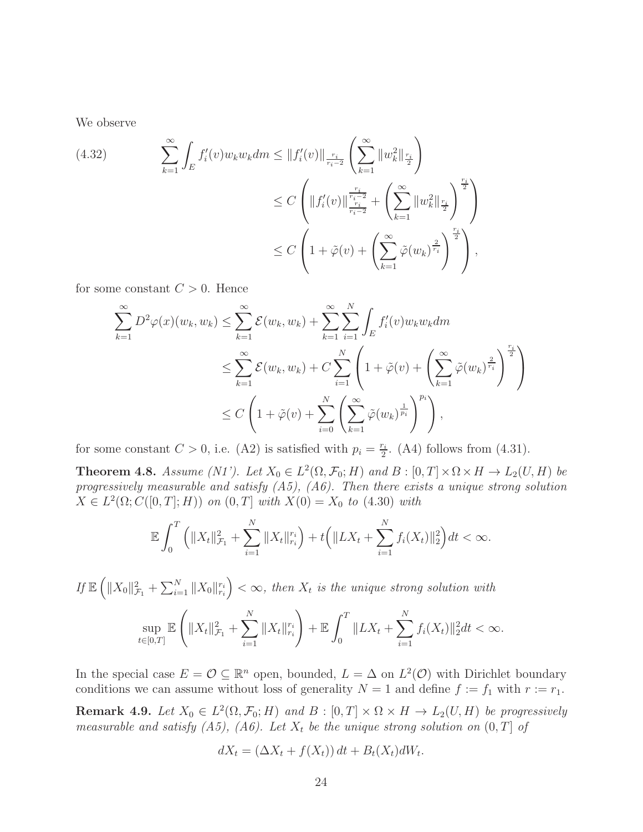We observe

(4.32) 
$$
\sum_{k=1}^{\infty} \int_{E} f'_{i}(v) w_{k} w_{k} dm \leq ||f'_{i}(v)||_{\frac{r_{i}}{r_{i}-2}} \left(\sum_{k=1}^{\infty} ||w_{k}^{2}||_{\frac{r_{i}}{2}}\right)
$$
  
 
$$
\leq C \left(||f'_{i}(v)||_{\frac{r_{i}}{r_{i}-2}} \frac{\frac{r_{i}}{r_{i}-2}}{\frac{r_{i}}{r_{i}-2}} + \left(\sum_{k=1}^{\infty} ||w_{k}^{2}||_{\frac{r_{i}}{2}}\right)^{\frac{r_{i}}{2}}\right)
$$
  
 
$$
\leq C \left(1 + \tilde{\varphi}(v) + \left(\sum_{k=1}^{\infty} \tilde{\varphi}(w_{k})^{\frac{2}{r_{i}}}\right)^{\frac{r_{i}}{2}}\right),
$$

for some constant  $C > 0$ . Hence

$$
\sum_{k=1}^{\infty} D^2 \varphi(x)(w_k, w_k) \leq \sum_{k=1}^{\infty} \mathcal{E}(w_k, w_k) + \sum_{k=1}^{\infty} \sum_{i=1}^{N} \int_E f'_i(v) w_k w_k dm
$$
  

$$
\leq \sum_{k=1}^{\infty} \mathcal{E}(w_k, w_k) + C \sum_{i=1}^{N} \left(1 + \tilde{\varphi}(v) + \left(\sum_{k=1}^{\infty} \tilde{\varphi}(w_k)^{\frac{2}{r_i}}\right)^{\frac{r_i}{2}}\right)
$$
  

$$
\leq C \left(1 + \tilde{\varphi}(v) + \sum_{i=0}^{N} \left(\sum_{k=1}^{\infty} \tilde{\varphi}(w_k)^{\frac{1}{p_i}}\right)^{p_i}\right),
$$

for some constant  $C > 0$ , i.e. (A2) is satisfied with  $p_i = \frac{r_i}{2}$  $\frac{r_i}{2}$ . (A4) follows from (4.31).

**Theorem 4.8.** Assume (N1'). Let  $X_0 \in L^2(\Omega, \mathcal{F}_0; H)$  and  $B : [0, T] \times \Omega \times H \to L_2(U, H)$  be progressively measurable and satisfy  $(A5)$ ,  $(A6)$ . Then there exists a unique strong solution  $X \in L^2(\Omega; C([0, T]; H))$  on  $(0, T]$  with  $X(0) = X_0$  to  $(4.30)$  with

$$
\mathbb{E}\int_0^T \left( \|X_t\|_{\mathcal{F}_1}^2 + \sum_{i=1}^N \|X_t\|_{r_i}^{r_i} \right) + t \left( \|LX_t + \sum_{i=1}^N f_i(X_t)\|_2^2 \right) dt < \infty.
$$

If  $\mathbb{E}\left(\|X_0\|_{\mathcal{F}_1}^2+\sum_{i=1}^N\|X_0\|_{r_i}^{r_i}\right)<\infty$ , then  $X_t$  is the unique strong solution with

$$
\sup_{t\in[0,T]}\mathbb{E}\left(\|X_t\|_{\mathcal{F}_1}^2+\sum_{i=1}^N\|X_t\|_{r_i}^{r_i}\right)+\mathbb{E}\int_0^T\|LX_t+\sum_{i=1}^N f_i(X_t)\|_2^2dt<\infty.
$$

In the special case  $E = \mathcal{O} \subseteq \mathbb{R}^n$  open, bounded,  $L = \Delta$  on  $L^2(\mathcal{O})$  with Dirichlet boundary conditions we can assume without loss of generality  $N = 1$  and define  $f := f_1$  with  $r := r_1$ .

**Remark 4.9.** Let  $X_0 \in L^2(\Omega, \mathcal{F}_0; H)$  and  $B : [0, T] \times \Omega \times H \rightarrow L_2(U, H)$  be progressively measurable and satisfy (A5), (A6). Let  $X_t$  be the unique strong solution on  $(0, T]$  of

$$
dX_t = (\Delta X_t + f(X_t)) dt + B_t(X_t) dW_t.
$$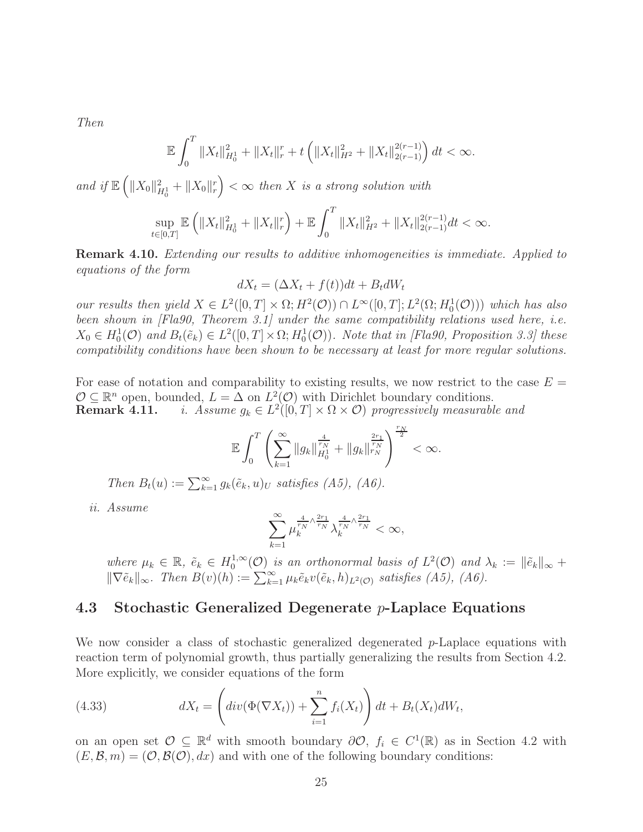Then

$$
\mathbb{E}\int_0^T \|X_t\|_{H_0^1}^2 + \|X_t\|_r^r + t \left( \|X_t\|_{H^2}^2 + \|X_t\|_{2(r-1)}^{2(r-1)} \right) dt < \infty.
$$

and if  $\mathbb{E}\left(\|X_0\|_{H_0^1}^2+\|X_0\|_r^r\right)<\infty$  then X is a strong solution with

$$
\sup_{t\in[0,T]}\mathbb{E}\left(\|X_t\|_{H_0^1}^2+\|X_t\|_{r}^r\right)+\mathbb{E}\int_0^T\|X_t\|_{H^2}^2+\|X_t\|_{2(r-1)}^{2(r-1)}dt<\infty.
$$

Remark 4.10. Extending our results to additive inhomogeneities is immediate. Applied to equations of the form

$$
dX_t = (\Delta X_t + f(t))dt + B_t dW_t
$$

our results then yield  $X \in L^2([0,T] \times \Omega; H^2(\mathcal{O})) \cap L^{\infty}([0,T]; L^2(\Omega; H_0^1(\mathcal{O})))$  which has also been shown in [Fla90, Theorem 3.1] under the same compatibility relations used here, i.e.  $X_0 \in H_0^1(\mathcal{O})$  and  $B_t(\tilde{e}_k) \in L^2([0,T] \times \Omega; H_0^1(\mathcal{O}))$ . Note that in [Fla90, Proposition 3.3] these compatibility conditions have been shown to be necessary at least for more regular solutions.

For ease of notation and comparability to existing results, we now restrict to the case  $E =$  $\mathcal{O} \subseteq \mathbb{R}^n$  open, bounded,  $L = \Delta$  on  $L^2(\mathcal{O})$  with Dirichlet boundary conditions. **Remark 4.11.** *i.* Assume  $g_k \in L^2([0,T] \times \Omega \times \mathcal{O})$  progressively measurable and

$$
\mathbb{E}\int_0^T \left(\sum_{k=1}^\infty \|g_k\|_{H_0^1}^{\frac{4}{r_N}} + \|g_k\|_{r_N}^{\frac{2r_1}{r_N}}\right)^{\frac{r_N}{2}} < \infty.
$$

Then  $B_t(u) := \sum_{k=1}^{\infty} g_k(\tilde{e}_k, u)_U$  satisfies (A5), (A6).

ii. Assume

$$
\sum_{k=1}^{\infty}\mu_k^{\frac{4}{r_N}\wedge\frac{2r_1}{r_N}}\lambda_k^{\frac{4}{r_N}\wedge\frac{2r_1}{r_N}}<\infty,
$$

where  $\mu_k \in \mathbb{R}$ ,  $\tilde{e}_k \in H_0^{1,\infty}$  $\sum_{0}^{1,\infty}$  (O) is an orthonormal basis of  $L^2(\mathcal{O})$  and  $\lambda_k := \|\tilde{e}_k\|_{\infty} +$  $\|\nabla \tilde{e}_k\|_{\infty}$ . Then  $B(v)(h) := \sum_{k=1}^{\infty} \mu_k \tilde{e}_k v(\tilde{e}_k, h)_{L^2(\mathcal{O})}$  satisfies  $(A5)$ ,  $(A6)$ .

#### 4.3 Stochastic Generalized Degenerate p-Laplace Equations

We now consider a class of stochastic generalized degenerated  $p$ -Laplace equations with reaction term of polynomial growth, thus partially generalizing the results from Section 4.2. More explicitly, we consider equations of the form

(4.33) 
$$
dX_t = \left( div(\Phi(\nabla X_t)) + \sum_{i=1}^n f_i(X_t) \right) dt + B_t(X_t) dW_t,
$$

on an open set  $\mathcal{O} \subseteq \mathbb{R}^d$  with smooth boundary  $\partial \mathcal{O}, f_i \in C^1(\mathbb{R})$  as in Section 4.2 with  $(E, \mathcal{B}, m) = (O, \mathcal{B}(O), dx)$  and with one of the following boundary conditions: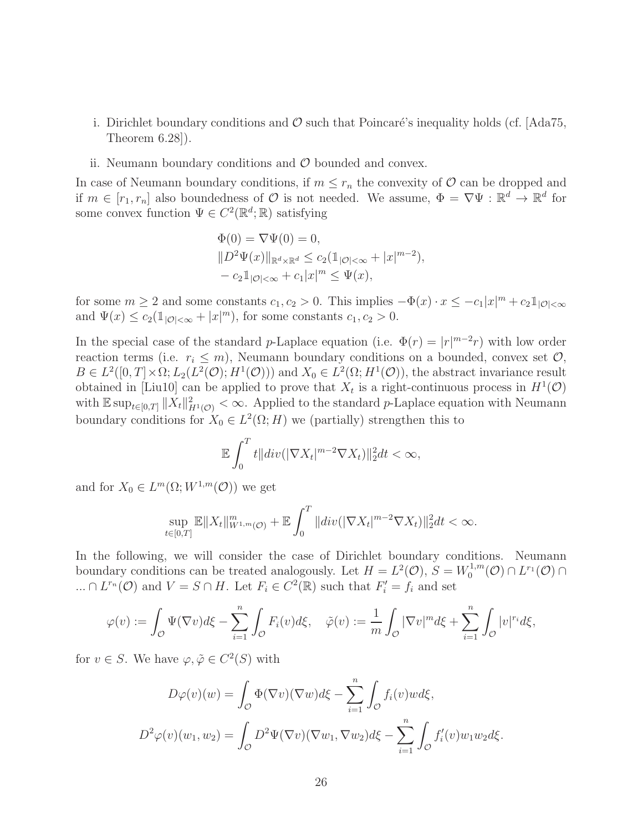- i. Dirichlet boundary conditions and  $\mathcal O$  such that Poincaré's inequality holds (cf. [Ada75, Theorem 6.28]).
- ii. Neumann boundary conditions and  $\mathcal O$  bounded and convex.

In case of Neumann boundary conditions, if  $m \leq r_n$  the convexity of  $\mathcal O$  can be dropped and if  $m \in [r_1, r_n]$  also boundedness of  $\mathcal O$  is not needed. We assume,  $\Phi = \nabla \Psi : \mathbb R^d \to \mathbb R^d$  for some convex function  $\Psi \in C^2(\mathbb{R}^d; \mathbb{R})$  satisfying

$$
\Phi(0) = \nabla \Psi(0) = 0,\|D^2 \Psi(x)\|_{\mathbb{R}^d \times \mathbb{R}^d} \le c_2 (\mathbb{1}_{|\mathcal{O}| < \infty} + |x|^{m-2}),\n- c_2 \mathbb{1}_{|\mathcal{O}| < \infty} + c_1 |x|^m \le \Psi(x),
$$

for some  $m \ge 2$  and some constants  $c_1, c_2 > 0$ . This implies  $-\Phi(x) \cdot x \le -c_1|x|^m + c_2 \mathbb{1}_{|\mathcal{O}| < \infty}$ and  $\Psi(x) \le c_2(\mathbb{1}_{|\mathcal{O}|<\infty} + |x|^m)$ , for some constants  $c_1, c_2 > 0$ .

In the special case of the standard p-Laplace equation (i.e.  $\Phi(r) = |r|^{m-2}r$ ) with low order reaction terms (i.e.  $r_i \leq m$ ), Neumann boundary conditions on a bounded, convex set  $\mathcal{O}$ ,  $B \in L^2([0,T] \times \Omega; L_2(L^2(\mathcal{O});H^1(\mathcal{O})))$  and  $X_0 \in L^2(\Omega; H^1(\mathcal{O}))$ , the abstract invariance result obtained in [Liu10] can be applied to prove that  $X_t$  is a right-continuous process in  $H^1(\mathcal{O})$ with  $\mathbb{E} \sup_{t \in [0,T]} \| \tilde{X}_t \|_{H^1(\mathcal{O})}^2 < \infty$ . Applied to the standard p-Laplace equation with Neumann boundary conditions for  $X_0 \in L^2(\Omega; H)$  we (partially) strengthen this to

$$
\mathbb{E}\int_0^T t||div(|\nabla X_t|^{m-2}\nabla X_t)||_2^2 dt < \infty,
$$

and for  $X_0 \in L^m(\Omega; W^{1,m}(\mathcal{O}))$  we get

$$
\sup_{t\in[0,T]}\mathbb{E}||X_t||_{W^{1,m}(\mathcal{O})}^m + \mathbb{E}\int_0^T ||div(|\nabla X_t|^{m-2}\nabla X_t)||_2^2 dt < \infty.
$$

In the following, we will consider the case of Dirichlet boundary conditions. Neumann boundary conditions can be treated analogously. Let  $H = L^2(\mathcal{O}), S = W_0^{1,m}$  $L^{1,m}(\mathcal{O}) \cap L^{r_1}(\mathcal{O}) \cap$ ...  $\cap L^{r_n}(\mathcal{O})$  and  $V = S \cap H$ . Let  $F_i \in C^2(\mathbb{R})$  such that  $F'_i = f_i$  and set

$$
\varphi(v) := \int_{\mathcal{O}} \Psi(\nabla v) d\xi - \sum_{i=1}^n \int_{\mathcal{O}} F_i(v) d\xi, \quad \tilde{\varphi}(v) := \frac{1}{m} \int_{\mathcal{O}} |\nabla v|^m d\xi + \sum_{i=1}^n \int_{\mathcal{O}} |v|^{r_i} d\xi,
$$

for  $v \in S$ . We have  $\varphi, \tilde{\varphi} \in C^2(S)$  with

$$
D\varphi(v)(w) = \int_{\mathcal{O}} \Phi(\nabla v)(\nabla w) d\xi - \sum_{i=1}^{n} \int_{\mathcal{O}} f_i(v) w d\xi,
$$
  

$$
D^2 \varphi(v)(w_1, w_2) = \int_{\mathcal{O}} D^2 \Psi(\nabla v)(\nabla w_1, \nabla w_2) d\xi - \sum_{i=1}^{n} \int_{\mathcal{O}} f'_i(v) w_1 w_2 d\xi.
$$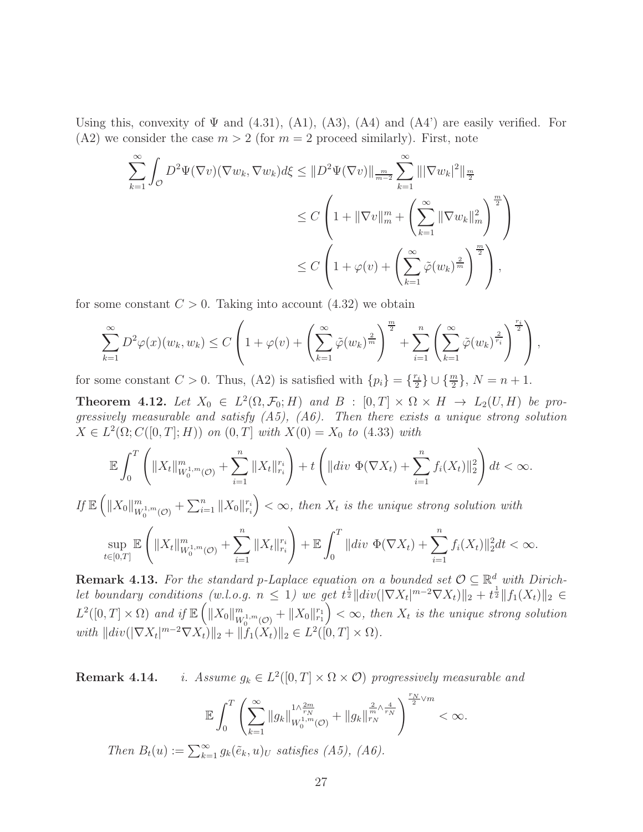Using this, convexity of  $\Psi$  and (4.31), (A1), (A3), (A4) and (A4') are easily verified. For (A2) we consider the case  $m > 2$  (for  $m = 2$  proceed similarly). First, note

$$
\sum_{k=1}^{\infty} \int_{\mathcal{O}} D^2 \Psi(\nabla v) (\nabla w_k, \nabla w_k) d\xi \leq \|D^2 \Psi(\nabla v)\|_{\frac{m}{m-2}} \sum_{k=1}^{\infty} \| |\nabla w_k|^2 \|_{\frac{m}{2}} \n\leq C \left( 1 + \|\nabla v\|_{m}^m + \left( \sum_{k=1}^{\infty} \|\nabla w_k\|_{m}^2 \right)^{\frac{m}{2}} \right) \n\leq C \left( 1 + \varphi(v) + \left( \sum_{k=1}^{\infty} \tilde{\varphi}(w_k)^{\frac{2}{m}} \right)^{\frac{m}{2}} \right),
$$

for some constant  $C > 0$ . Taking into account  $(4.32)$  we obtain

$$
\sum_{k=1}^{\infty} D^2 \varphi(x)(w_k, w_k) \le C \left( 1 + \varphi(v) + \left( \sum_{k=1}^{\infty} \tilde{\varphi}(w_k)^{\frac{2}{m}} \right)^{\frac{m}{2}} + \sum_{i=1}^{n} \left( \sum_{k=1}^{\infty} \tilde{\varphi}(w_k)^{\frac{2}{r_i}} \right)^{\frac{r_i}{2}} \right),
$$

for some constant  $C > 0$ . Thus, (A2) is satisfied with  $\{p_i\} = \{\frac{r_i}{2}\}$  $\{\frac{r_i}{2}\}\cup \{\frac{m}{2}\},\ N=n+1.$ 

**Theorem 4.12.** Let  $X_0 \in L^2(\Omega, \mathcal{F}_0; H)$  and  $B : [0, T] \times \Omega \times H \rightarrow L_2(U, H)$  be progressively measurable and satisfy  $(A5)$ ,  $(A6)$ . Then there exists a unique strong solution  $X \in L^2(\Omega; C([0, T]; H))$  on  $(0, T]$  with  $X(0) = X_0$  to  $(4.33)$  with

$$
\mathbb{E}\int_0^T \left( \|X_t\|_{W_0^{1,m}(\mathcal{O})}^m + \sum_{i=1}^n \|X_t\|_{r_i}^{r_i} \right) + t \left( \|div \Phi(\nabla X_t) + \sum_{i=1}^n f_i(X_t) \|_2^2 \right) dt < \infty.
$$

If  $\mathbb{E}\left(\|X_0\|_{W_0^{1,m}(\mathcal{O})}^m+\sum_{i=1}^n\|X_0\|_{r_i}^{r_i}\right)<\infty$ , then  $X_t$  is the unique strong solution with

$$
\sup_{t\in[0,T]}\mathbb{E}\left(\|X_t\|_{W_0^{1,m}(\mathcal{O})}^m+\sum_{i=1}^n\|X_t\|_{r_i}^{r_i}\right)+\mathbb{E}\int_0^T\|div\ \Phi(\nabla X_t)+\sum_{i=1}^n f_i(X_t)\|_2^2dt<\infty.
$$

**Remark 4.13.** For the standard p-Laplace equation on a bounded set  $\mathcal{O} \subseteq \mathbb{R}^d$  with Dirichlet boundary conditions (w.l.o.g.  $n \leq 1$ ) we get  $t^{\frac{1}{2}} ||div(||\nabla X_t|^{m-2} \nabla X_t)||_2 + t^{\frac{1}{2}} ||f_1(X_t)||_2 \in$  $L^2([0,T]\times\Omega)$  and if  $\mathbb{E}\left(\|X_0\|_{W_0^{1,m}(\mathcal{O})}^m+\|X_0\|_{r_1}^{r_1}\right)<\infty$ , then  $X_t$  is the unique strong solution with  $||div(|\nabla X_t|^{m-2}\nabla X_t)||_2 + ||f_1(X_t)||_2 \in L^2([0, T] \times \Omega).$ 

**Remark 4.14.** i. Assume  $g_k \in L^2([0,T] \times \Omega \times \mathcal{O})$  progressively measurable and

$$
\mathbb{E}\int_0^T \left(\sum_{k=1}^\infty \|g_k\|_{W_0^{1,m}(\mathcal{O})}^{1\wedge \frac{2m}{r_N}} + \|g_k\|_{W_N^{1}}^{\frac{2}{m}\wedge \frac{4}{r_N}}\right)^{\frac{r_N}{2}\vee m} < \infty.
$$
  

$$
B_t(u) := \sum_{k=1}^\infty g_k(\tilde{e}_k, u)_U \text{ satisfies (A5), (A6).}
$$

 $Then$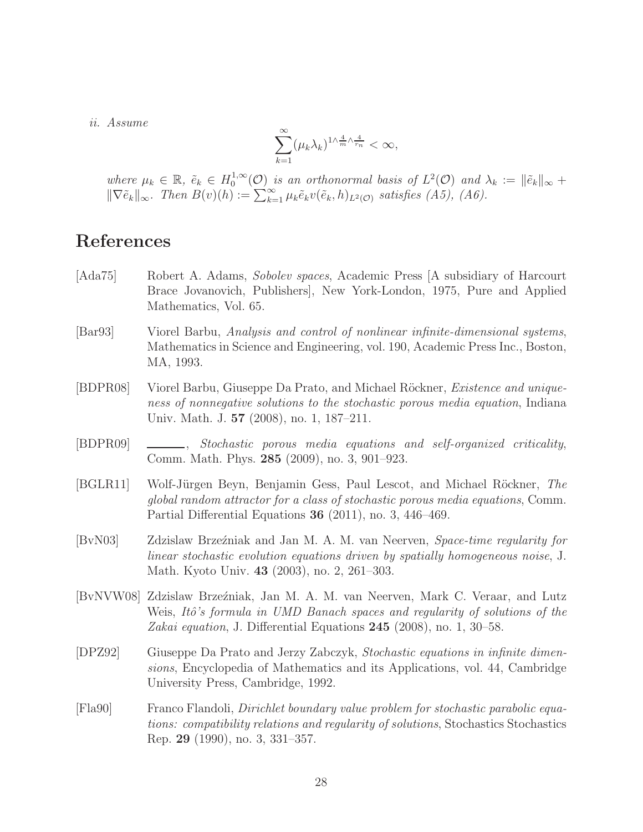ii. Assume

$$
\sum_{k=1}^{\infty} (\mu_k \lambda_k)^{1 \wedge \frac{4}{m} \wedge \frac{4}{r_n}} < \infty,
$$

where  $\mu_k \in \mathbb{R}$ ,  $\tilde{e}_k \in H_0^{1,\infty}$  $\mathcal{O}_0^{1,\infty}(\mathcal{O})$  is an orthonormal basis of  $L^2(\mathcal{O})$  and  $\lambda_k := \|\tilde{e}_k\|_{\infty} + \infty$  $\|\nabla \tilde{e}_k\|_{\infty}$ . Then  $B(v)(h) := \sum_{k=1}^{\infty} \mu_k \tilde{e}_k v(\tilde{e}_k, h)_{L^2(\mathcal{O})}$  satisfies  $(A5)$ ,  $(A6)$ .

# References

- [Ada75] Robert A. Adams, Sobolev spaces, Academic Press [A subsidiary of Harcourt Brace Jovanovich, Publishers], New York-London, 1975, Pure and Applied Mathematics, Vol. 65.
- [Bar93] Viorel Barbu, Analysis and control of nonlinear infinite-dimensional systems, Mathematics in Science and Engineering, vol. 190, Academic Press Inc., Boston, MA, 1993.
- [BDPR08] Viorel Barbu, Giuseppe Da Prato, and Michael Röckner, *Existence and unique*ness of nonnegative solutions to the stochastic porous media equation, Indiana Univ. Math. J. 57 (2008), no. 1, 187–211.
- [BDPR09] , Stochastic porous media equations and self-organized criticality, Comm. Math. Phys. 285 (2009), no. 3, 901–923.
- [BGLR11] Wolf-Jürgen Beyn, Benjamin Gess, Paul Lescot, and Michael Röckner, The global random attractor for a class of stochastic porous media equations, Comm. Partial Differential Equations 36 (2011), no. 3, 446–469.
- [BvN03] Zdzislaw Brze´zniak and Jan M. A. M. van Neerven, Space-time regularity for linear stochastic evolution equations driven by spatially homogeneous noise, J. Math. Kyoto Univ. 43 (2003), no. 2, 261–303.
- [BvNVW08] Zdzislaw Brze´zniak, Jan M. A. M. van Neerven, Mark C. Veraar, and Lutz Weis, Itô's formula in UMD Banach spaces and regularity of solutions of the Zakai equation, J. Differential Equations  $245$  (2008), no. 1, 30–58.
- [DPZ92] Giuseppe Da Prato and Jerzy Zabczyk, Stochastic equations in infinite dimensions, Encyclopedia of Mathematics and its Applications, vol. 44, Cambridge University Press, Cambridge, 1992.
- [Fla90] Franco Flandoli, Dirichlet boundary value problem for stochastic parabolic equations: compatibility relations and regularity of solutions, Stochastics Stochastics Rep. 29 (1990), no. 3, 331–357.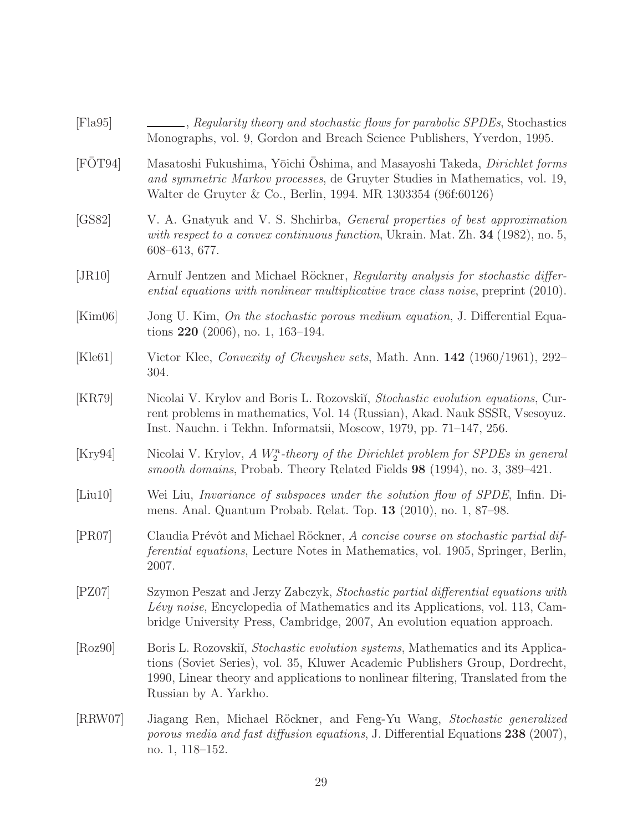| [Flag5] | Regularity theory and stochastic flows for parabolic SPDEs, Stochastics<br>Monographs, vol. 9, Gordon and Breach Science Publishers, Yverdon, 1995.                                                                                                                                 |
|---------|-------------------------------------------------------------------------------------------------------------------------------------------------------------------------------------------------------------------------------------------------------------------------------------|
| [FOT94] | Masatoshi Fukushima, Yōichi Ōshima, and Masayoshi Takeda, Dirichlet forms<br>and symmetric Markov processes, de Gruyter Studies in Mathematics, vol. 19,<br>Walter de Gruyter & Co., Berlin, 1994. MR 1303354 (96f:60126)                                                           |
| [GS82]  | V. A. Gnatyuk and V. S. Shchirba, <i>General properties of best approximation</i><br>with respect to a convex continuous function, Ukrain. Mat. Zh. 34 (1982), no. 5,<br>$608 - 613, 677.$                                                                                          |
| [JR10]  | Arnulf Jentzen and Michael Röckner, Regularity analysis for stochastic differ-<br>ential equations with nonlinear multiplicative trace class noise, preprint (2010).                                                                                                                |
| [Kim06] | Jong U. Kim, On the stochastic porous medium equation, J. Differential Equa-<br>tions $220$ (2006), no. 1, 163–194.                                                                                                                                                                 |
| [Kle61] | Victor Klee, Convexity of Chevyshev sets, Math. Ann. 142 (1960/1961), 292-<br>304.                                                                                                                                                                                                  |
| [KR79]  | Nicolai V. Krylov and Boris L. Rozovskii, Stochastic evolution equations, Cur-<br>rent problems in mathematics, Vol. 14 (Russian), Akad. Nauk SSSR, Vsesoyuz.<br>Inst. Nauchn. i Tekhn. Informatsii, Moscow, 1979, pp. 71–147, 256.                                                 |
| [Kry94] | Nicolai V. Krylov, A $W_2^n$ -theory of the Dirichlet problem for SPDEs in general<br>smooth domains, Probab. Theory Related Fields 98 (1994), no. 3, 389–421.                                                                                                                      |
| [Liu10] | Wei Liu, <i>Invariance of subspaces under the solution flow of SPDE</i> , Infin. Di-<br>mens. Anal. Quantum Probab. Relat. Top. 13 (2010), no. 1, 87–98.                                                                                                                            |
| [PR07]  | Claudia Prévôt and Michael Röckner, A concise course on stochastic partial dif-<br><i>ferential equations</i> , Lecture Notes in Mathematics, vol. 1905, Springer, Berlin,<br>2007.                                                                                                 |
| PZ07    | Szymon Peszat and Jerzy Zabczyk, Stochastic partial differential equations with<br>Lévy noise, Encyclopedia of Mathematics and its Applications, vol. 113, Cam-<br>bridge University Press, Cambridge, 2007, An evolution equation approach.                                        |
| [Roz90] | Boris L. Rozovskii, <i>Stochastic evolution systems</i> , Mathematics and its Applica-<br>tions (Soviet Series), vol. 35, Kluwer Academic Publishers Group, Dordrecht,<br>1990, Linear theory and applications to nonlinear filtering, Translated from the<br>Russian by A. Yarkho. |
| [RRW07] | Jiagang Ren, Michael Röckner, and Feng-Yu Wang, Stochastic generalized<br>porous media and fast diffusion equations, J. Differential Equations 238 (2007),<br>no. 1, 118-152.                                                                                                       |

29